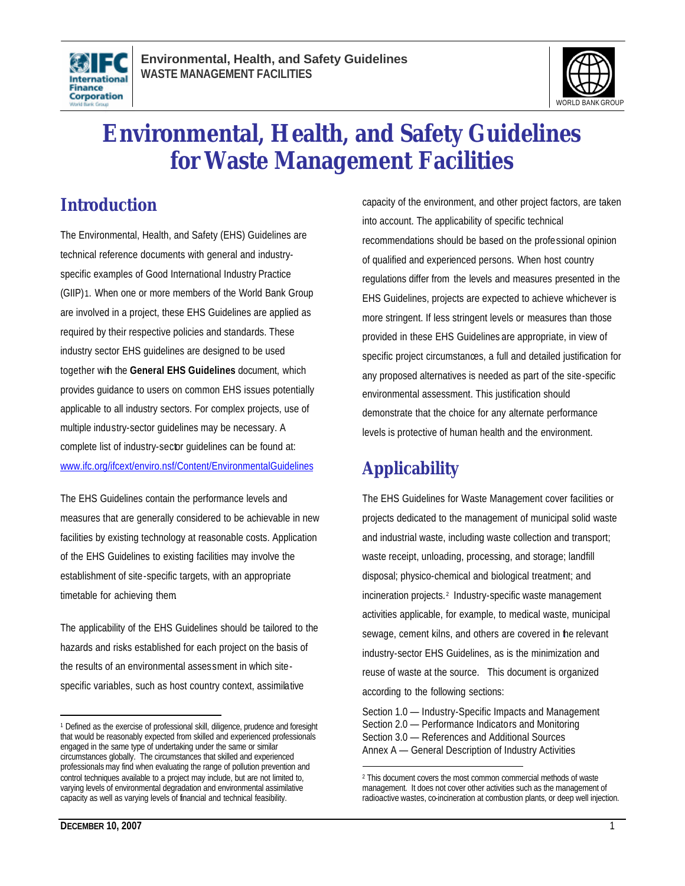



# **Environmental, Health, and Safety Guidelines for Waste Management Facilities**

## **Introduction**

The Environmental, Health, and Safety (EHS) Guidelines are technical reference documents with general and industryspecific examples of Good International Industry Practice (GIIP)1. When one or more members of the World Bank Group are involved in a project, these EHS Guidelines are applied as required by their respective policies and standards. These industry sector EHS guidelines are designed to be used together with the **General EHS Guidelines** document, which provides guidance to users on common EHS issues potentially applicable to all industry sectors. For complex projects, use of multiple industry-sector guidelines may be necessary. A complete list of industry-sector guidelines can be found at: www.ifc.org/ifcext/enviro.nsf/Content/EnvironmentalGuidelines

The EHS Guidelines contain the performance levels and measures that are generally considered to be achievable in new facilities by existing technology at reasonable costs. Application of the EHS Guidelines to existing facilities may involve the establishment of site-specific targets, with an appropriate timetable for achieving them.

The applicability of the EHS Guidelines should be tailored to the hazards and risks established for each project on the basis of the results of an environmental assessment in which sitespecific variables, such as host country context, assimilative

capacity of the environment, and other project factors, are taken into account. The applicability of specific technical recommendations should be based on the professional opinion of qualified and experienced persons. When host country regulations differ from the levels and measures presented in the EHS Guidelines, projects are expected to achieve whichever is more stringent. If less stringent levels or measures than those provided in these EHS Guidelines are appropriate, in view of specific project circumstances, a full and detailed justification for any proposed alternatives is needed as part of the site-specific environmental assessment. This justification should demonstrate that the choice for any alternate performance levels is protective of human health and the environment.

## **Applicability**

 $\overline{a}$ 

The EHS Guidelines for Waste Management cover facilities or projects dedicated to the management of municipal solid waste and industrial waste, including waste collection and transport; waste receipt, unloading, processing, and storage; landfill disposal; physico-chemical and biological treatment; and incineration projects. <sup>2</sup> Industry-specific waste management activities applicable, for example, to medical waste, municipal sewage, cement kilns, and others are covered in the relevant industry-sector EHS Guidelines, as is the minimization and reuse of waste at the source. This document is organized according to the following sections:

Section 1.0 — Industry-Specific Impacts and Management Section 2.0 — Performance Indicators and Monitoring Section 3.0 — References and Additional Sources Annex A — General Description of Industry Activities

 $\overline{a}$ <sup>1</sup> Defined as the exercise of professional skill, diligence, prudence and foresight that would be reasonably expected from skilled and experienced professionals engaged in the same type of undertaking under the same or similar circumstances globally. The circumstances that skilled and experienced professionals may find when evaluating the range of pollution prevention and control techniques available to a project may include, but are not limited to, varying levels of environmental degradation and environmental assimilative capacity as well as varying levels of financial and technical feasibility.

<sup>2</sup> This document covers the most common commercial methods of waste management. It does not cover other activities such as the management of radioactive wastes, co-incineration at combustion plants, or deep well injection.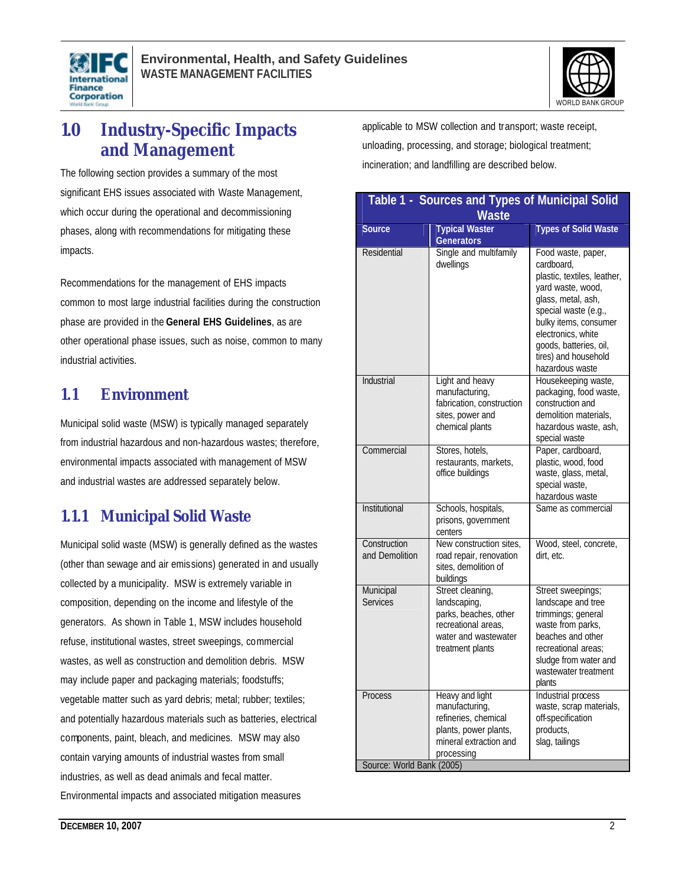



## **1.0 Industry-Specific Impacts and Management**

The following section provides a summary of the most significant EHS issues associated with Waste Management, which occur during the operational and decommissioning phases, along with recommendations for mitigating these impacts.

Recommendations for the management of EHS impacts common to most large industrial facilities during the construction phase are provided in the **General EHS Guidelines**, as are other operational phase issues, such as noise, common to many industrial activities.

### **1.1 Environment**

Municipal solid waste (MSW) is typically managed separately from industrial hazardous and non-hazardous wastes; therefore, environmental impacts associated with management of MSW and industrial wastes are addressed separately below.

## **1.1.1 Municipal Solid Waste**

Municipal solid waste (MSW) is generally defined as the wastes (other than sewage and air emissions) generated in and usually collected by a municipality. MSW is extremely variable in composition, depending on the income and lifestyle of the generators. As shown in Table 1, MSW includes household refuse, institutional wastes, street sweepings, commercial wastes, as well as construction and demolition debris. MSW may include paper and packaging materials; foodstuffs; vegetable matter such as yard debris; metal; rubber; textiles; and potentially hazardous materials such as batteries, electrical components, paint, bleach, and medicines. MSW may also contain varying amounts of industrial wastes from small industries, as well as dead animals and fecal matter. Environmental impacts and associated mitigation measures

applicable to MSW collection and transport; waste receipt, unloading, processing, and storage; biological treatment; incineration; and landfilling are described below.

| Table 1 - Sources and Types of Municipal Solid<br><b>Waste</b> |                                                                                                                              |                                                                                                                                                                                                                                                        |  |  |
|----------------------------------------------------------------|------------------------------------------------------------------------------------------------------------------------------|--------------------------------------------------------------------------------------------------------------------------------------------------------------------------------------------------------------------------------------------------------|--|--|
| <b>Source</b>                                                  | <b>Typical Waster</b>                                                                                                        | <b>Types of Solid Waste</b>                                                                                                                                                                                                                            |  |  |
| Residential                                                    | <b>Generators</b><br>Single and multifamily<br>dwellings                                                                     | Food waste, paper,<br>cardboard.<br>plastic, textiles, leather,<br>yard waste, wood,<br>glass, metal, ash,<br>special waste (e.g.,<br>bulky items, consumer<br>electronics, white<br>goods, batteries, oil,<br>tires) and household<br>hazardous waste |  |  |
| Industrial                                                     | Light and heavy<br>manufacturing,<br>fabrication, construction<br>sites, power and<br>chemical plants                        | Housekeeping waste,<br>packaging, food waste,<br>construction and<br>demolition materials.<br>hazardous waste, ash,<br>special waste                                                                                                                   |  |  |
| Commercial                                                     | Stores, hotels,<br>restaurants, markets,<br>office buildings                                                                 | Paper, cardboard,<br>plastic, wood, food<br>waste, glass, metal,<br>special waste,<br>hazardous waste                                                                                                                                                  |  |  |
| Institutional                                                  | Schools, hospitals,<br>prisons, government<br>centers                                                                        | Same as commercial                                                                                                                                                                                                                                     |  |  |
| Construction<br>and Demolition                                 | New construction sites,<br>road repair, renovation<br>sites, demolition of<br>buildings                                      | Wood, steel, concrete,<br>dirt, etc.                                                                                                                                                                                                                   |  |  |
| Municipal<br>Services                                          | Street cleaning,<br>landscaping,<br>parks, beaches, other<br>recreational areas.<br>water and wastewater<br>treatment plants | Street sweepings;<br>landscape and tree<br>trimmings; general<br>waste from parks,<br>beaches and other<br>recreational areas:<br>sludge from water and<br>wastewater treatment<br>plants                                                              |  |  |
| Process<br>Source: World Bank (2005)                           | Heavy and light<br>manufacturing,<br>refineries, chemical<br>plants, power plants,<br>mineral extraction and<br>processing   | Industrial process<br>waste, scrap materials,<br>off-specification<br>products,<br>slag, tailings                                                                                                                                                      |  |  |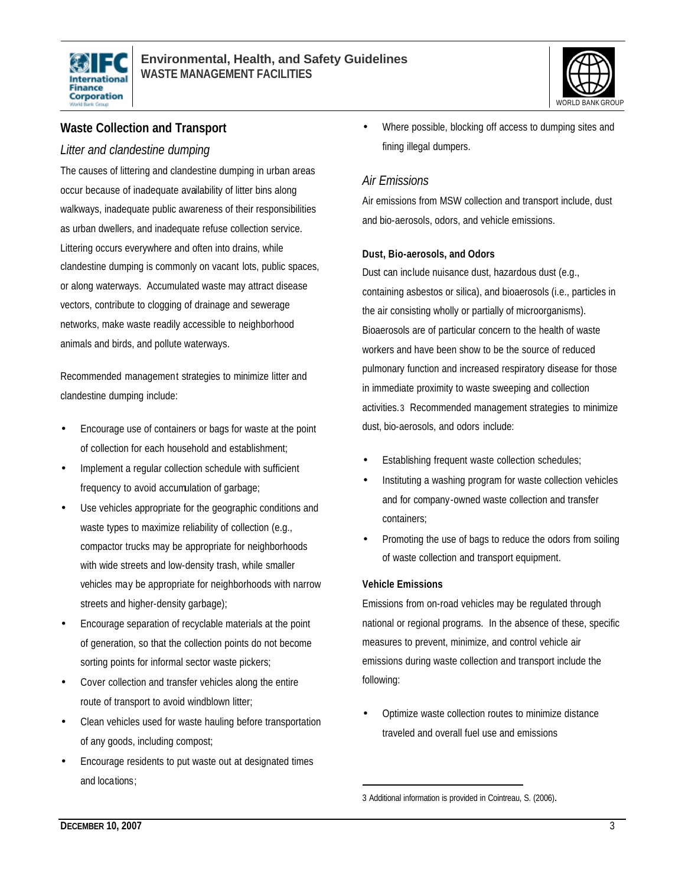



### **Waste Collection and Transport**

### *Litter and clandestine dumping*

The causes of littering and clandestine dumping in urban areas occur because of inadequate availability of litter bins along walkways, inadequate public awareness of their responsibilities as urban dwellers, and inadequate refuse collection service. Littering occurs everywhere and often into drains, while clandestine dumping is commonly on vacant lots, public spaces, or along waterways. Accumulated waste may attract disease vectors, contribute to clogging of drainage and sewerage networks, make waste readily accessible to neighborhood animals and birds, and pollute waterways.

Recommended management strategies to minimize litter and clandestine dumping include:

- Encourage use of containers or bags for waste at the point of collection for each household and establishment;
- Implement a regular collection schedule with sufficient frequency to avoid accumulation of garbage;
- Use vehicles appropriate for the geographic conditions and waste types to maximize reliability of collection (e.g., compactor trucks may be appropriate for neighborhoods with wide streets and low-density trash, while smaller vehicles may be appropriate for neighborhoods with narrow streets and higher-density garbage);
- Encourage separation of recyclable materials at the point of generation, so that the collection points do not become sorting points for informal sector waste pickers;
- Cover collection and transfer vehicles along the entire route of transport to avoid windblown litter;
- Clean vehicles used for waste hauling before transportation of any goods, including compost;
- Encourage residents to put waste out at designated times and locations;

• Where possible, blocking off access to dumping sites and fining illegal dumpers.

### *Air Emissions*

Air emissions from MSW collection and transport include, dust and bio-aerosols, odors, and vehicle emissions.

#### **Dust, Bio-aerosols, and Odors**

Dust can include nuisance dust, hazardous dust (e.g., containing asbestos or silica), and bioaerosols (i.e., particles in the air consisting wholly or partially of microorganisms). Bioaerosols are of particular concern to the health of waste workers and have been show to be the source of reduced pulmonary function and increased respiratory disease for those in immediate proximity to waste sweeping and collection activities.3 Recommended management strategies to minimize dust, bio-aerosols, and odors include:

- Establishing frequent waste collection schedules;
- Instituting a washing program for waste collection vehicles and for company-owned waste collection and transfer containers;
- Promoting the use of bags to reduce the odors from soiling of waste collection and transport equipment.

#### **Vehicle Emissions**

 $\overline{a}$ 

Emissions from on-road vehicles may be regulated through national or regional programs. In the absence of these, specific measures to prevent, minimize, and control vehicle air emissions during waste collection and transport include the following:

• Optimize waste collection routes to minimize distance traveled and overall fuel use and emissions

<sup>3</sup> Additional information is provided in Cointreau, S. (2006).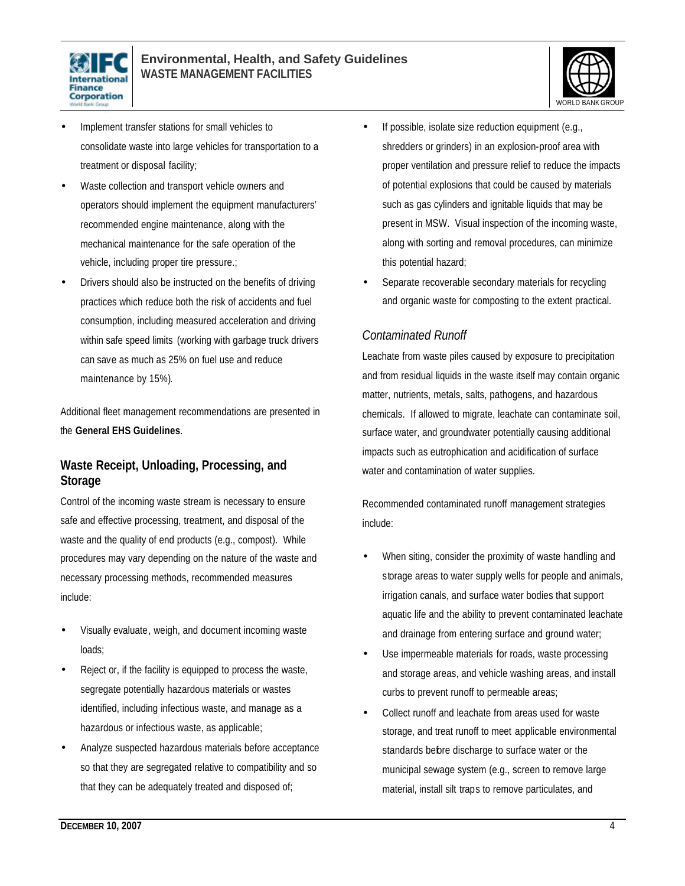



- Implement transfer stations for small vehicles to consolidate waste into large vehicles for transportation to a treatment or disposal facility;
- Waste collection and transport vehicle owners and operators should implement the equipment manufacturers' recommended engine maintenance, along with the mechanical maintenance for the safe operation of the vehicle, including proper tire pressure.;
- Drivers should also be instructed on the benefits of driving practices which reduce both the risk of accidents and fuel consumption, including measured acceleration and driving within safe speed limits (working with garbage truck drivers can save as much as 25% on fuel use and reduce maintenance by 15%).

Additional fleet management recommendations are presented in the **General EHS Guidelines**.

### **Waste Receipt, Unloading, Processing, and Storage**

Control of the incoming waste stream is necessary to ensure safe and effective processing, treatment, and disposal of the waste and the quality of end products (e.g., compost). While procedures may vary depending on the nature of the waste and necessary processing methods, recommended measures include:

- Visually evaluate, weigh, and document incoming waste loads;
- Reject or, if the facility is equipped to process the waste, segregate potentially hazardous materials or wastes identified, including infectious waste, and manage as a hazardous or infectious waste, as applicable;
- Analyze suspected hazardous materials before acceptance so that they are segregated relative to compatibility and so that they can be adequately treated and disposed of;
- If possible, isolate size reduction equipment (e.g., shredders or grinders) in an explosion-proof area with proper ventilation and pressure relief to reduce the impacts of potential explosions that could be caused by materials such as gas cylinders and ignitable liquids that may be present in MSW. Visual inspection of the incoming waste, along with sorting and removal procedures, can minimize this potential hazard;
- Separate recoverable secondary materials for recycling and organic waste for composting to the extent practical.

### *Contaminated Runoff*

Leachate from waste piles caused by exposure to precipitation and from residual liquids in the waste itself may contain organic matter, nutrients, metals, salts, pathogens, and hazardous chemicals. If allowed to migrate, leachate can contaminate soil, surface water, and groundwater potentially causing additional impacts such as eutrophication and acidification of surface water and contamination of water supplies.

Recommended contaminated runoff management strategies include:

- When siting, consider the proximity of waste handling and storage areas to water supply wells for people and animals, irrigation canals, and surface water bodies that support aquatic life and the ability to prevent contaminated leachate and drainage from entering surface and ground water;
- Use impermeable materials for roads, waste processing and storage areas, and vehicle washing areas, and install curbs to prevent runoff to permeable areas;
- Collect runoff and leachate from areas used for waste storage, and treat runoff to meet applicable environmental standards before discharge to surface water or the municipal sewage system (e.g., screen to remove large material, install silt traps to remove particulates, and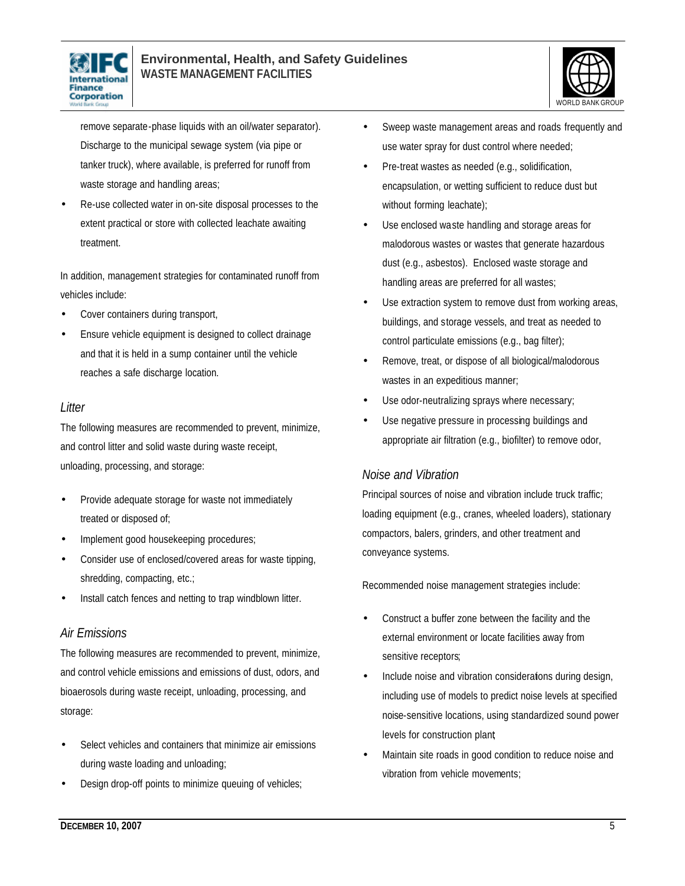



remove separate-phase liquids with an oil/water separator). Discharge to the municipal sewage system (via pipe or tanker truck), where available, is preferred for runoff from waste storage and handling areas;

• Re-use collected water in on-site disposal processes to the extent practical or store with collected leachate awaiting treatment.

In addition, management strategies for contaminated runoff from vehicles include:

- Cover containers during transport,
- Ensure vehicle equipment is designed to collect drainage and that it is held in a sump container until the vehicle reaches a safe discharge location.

### *Litter*

The following measures are recommended to prevent, minimize, and control litter and solid waste during waste receipt, unloading, processing, and storage:

- Provide adequate storage for waste not immediately treated or disposed of;
- Implement good housekeeping procedures;
- Consider use of enclosed/covered areas for waste tipping, shredding, compacting, etc.;
- Install catch fences and netting to trap windblown litter.

### *Air Emissions*

The following measures are recommended to prevent, minimize, and control vehicle emissions and emissions of dust, odors, and bioaerosols during waste receipt, unloading, processing, and storage:

- Select vehicles and containers that minimize air emissions during waste loading and unloading;
- Design drop-off points to minimize queuing of vehicles;
- Sweep waste management areas and roads frequently and use water spray for dust control where needed;
- Pre-treat wastes as needed (e.g., solidification, encapsulation, or wetting sufficient to reduce dust but without forming leachate);
- Use enclosed waste handling and storage areas for malodorous wastes or wastes that generate hazardous dust (e.g., asbestos). Enclosed waste storage and handling areas are preferred for all wastes;
- Use extraction system to remove dust from working areas, buildings, and storage vessels, and treat as needed to control particulate emissions (e.g., bag filter);
- Remove, treat, or dispose of all biological/malodorous wastes in an expeditious manner;
- Use odor-neutralizing sprays where necessary;
- Use negative pressure in processing buildings and appropriate air filtration (e.g., biofilter) to remove odor,

### *Noise and Vibration*

Principal sources of noise and vibration include truck traffic; loading equipment (e.g., cranes, wheeled loaders), stationary compactors, balers, grinders, and other treatment and conveyance systems.

Recommended noise management strategies include:

- Construct a buffer zone between the facility and the external environment or locate facilities away from sensitive receptors;
- Include noise and vibration considerations during design, including use of models to predict noise levels at specified noise-sensitive locations, using standardized sound power levels for construction plant;
- Maintain site roads in good condition to reduce noise and vibration from vehicle movements;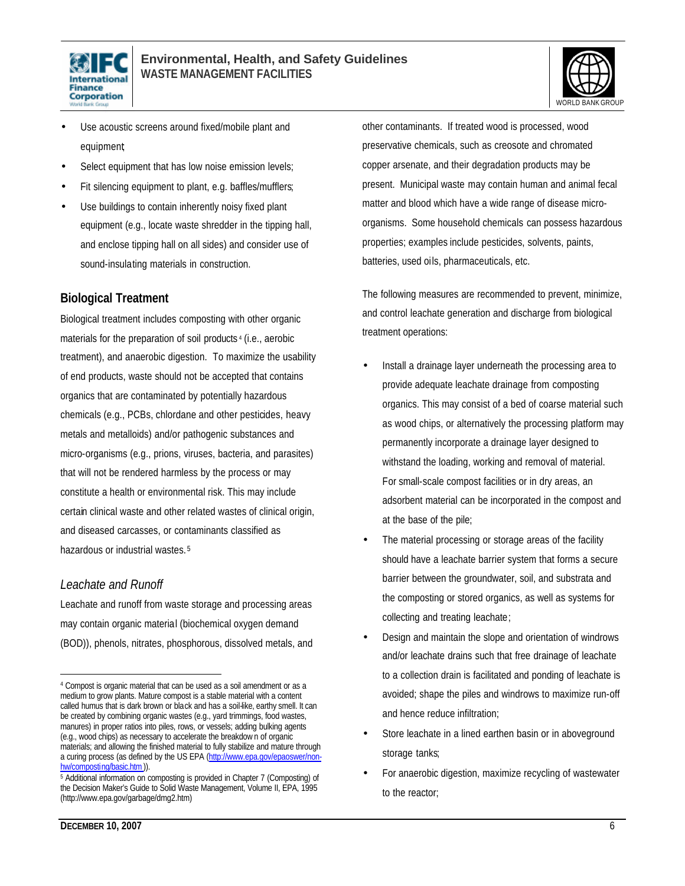



- Use acoustic screens around fixed/mobile plant and equipment;
- Select equipment that has low noise emission levels;
- Fit silencing equipment to plant, e.g. baffles/mufflers;
- Use buildings to contain inherently noisy fixed plant equipment (e.g., locate waste shredder in the tipping hall, and enclose tipping hall on all sides) and consider use of sound-insulating materials in construction.

### **Biological Treatment**

Biological treatment includes composting with other organic materials for the preparation of soil products <sup>4</sup> (i.e., aerobic treatment), and anaerobic digestion. To maximize the usability of end products, waste should not be accepted that contains organics that are contaminated by potentially hazardous chemicals (e.g., PCBs, chlordane and other pesticides, heavy metals and metalloids) and/or pathogenic substances and micro-organisms (e.g., prions, viruses, bacteria, and parasites) that will not be rendered harmless by the process or may constitute a health or environmental risk. This may include certain clinical waste and other related wastes of clinical origin, and diseased carcasses, or contaminants classified as hazardous or industrial wastes. <sup>5</sup>

### *Leachate and Runoff*

 $\overline{a}$ 

Leachate and runoff from waste storage and processing areas may contain organic material (biochemical oxygen demand (BOD)), phenols, nitrates, phosphorous, dissolved metals, and other contaminants. If treated wood is processed, wood preservative chemicals, such as creosote and chromated copper arsenate, and their degradation products may be present. Municipal waste may contain human and animal fecal matter and blood which have a wide range of disease microorganisms. Some household chemicals can possess hazardous properties; examples include pesticides, solvents, paints, batteries, used oils, pharmaceuticals, etc.

The following measures are recommended to prevent, minimize, and control leachate generation and discharge from biological treatment operations:

- Install a drainage layer underneath the processing area to provide adequate leachate drainage from composting organics. This may consist of a bed of coarse material such as wood chips, or alternatively the processing platform may permanently incorporate a drainage layer designed to withstand the loading, working and removal of material. For small-scale compost facilities or in dry areas, an adsorbent material can be incorporated in the compost and at the base of the pile;
- The material processing or storage areas of the facility should have a leachate barrier system that forms a secure barrier between the groundwater, soil, and substrata and the composting or stored organics, as well as systems for collecting and treating leachate;
- Design and maintain the slope and orientation of windrows and/or leachate drains such that free drainage of leachate to a collection drain is facilitated and ponding of leachate is avoided; shape the piles and windrows to maximize run-off and hence reduce infiltration;
- Store leachate in a lined earthen basin or in aboveground storage tanks;
- For anaerobic digestion, maximize recycling of wastewater to the reactor;

<sup>4</sup> Compost is organic material that can be used as a soil amendment or as a medium to grow plants. Mature compost is a stable material with a content called humus that is dark brown or black and has a soil-like, earthy smell. It can be created by combining organic wastes (e.g., yard trimmings, food wastes, manures) in proper ratios into piles, rows, or vessels; adding bulking agents (e.g., wood chips) as necessary to accelerate the breakdow n of organic materials; and allowing the finished material to fully stabilize and mature through a curing process (as defined by the US EPA (http://www.epa.gov/epaoswer/nonhw/composting/basic.htm)).

<sup>&</sup>lt;sup>5</sup> Additional information on composting is provided in Chapter 7 (Composting) of the Decision Maker's Guide to Solid Waste Management, Volume II, EPA, 1995 (http://www.epa.gov/garbage/dmg2.htm)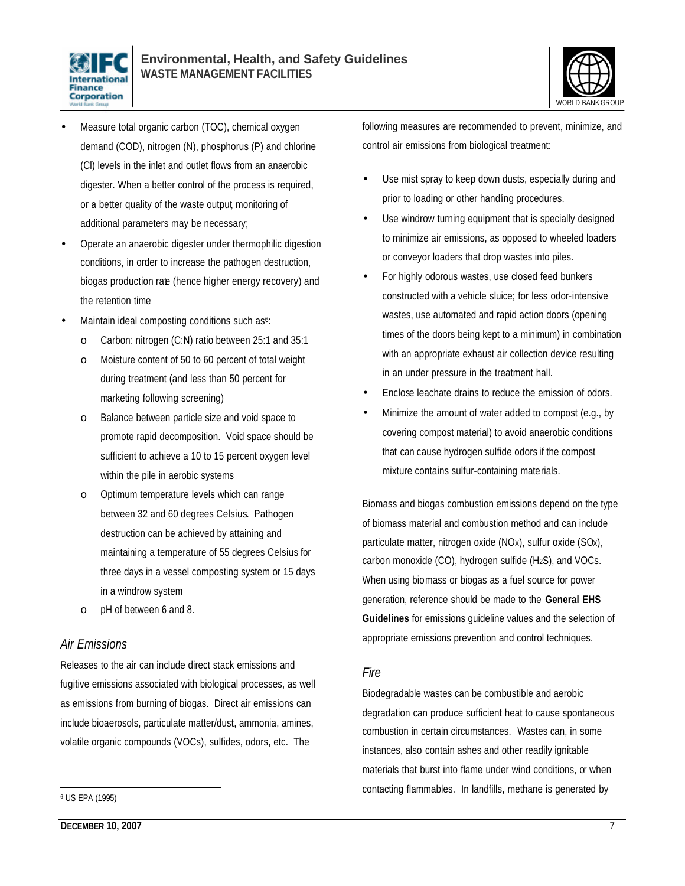



- Measure total organic carbon (TOC), chemical oxygen demand (COD), nitrogen (N), phosphorus (P) and chlorine (Cl) levels in the inlet and outlet flows from an anaerobic digester. When a better control of the process is required, or a better quality of the waste output, monitoring of additional parameters may be necessary;
- Operate an anaerobic digester under thermophilic digestion conditions, in order to increase the pathogen destruction, biogas production rate (hence higher energy recovery) and the retention time
- Maintain ideal composting conditions such as<sup>6</sup>:
	- o Carbon: nitrogen (C:N) ratio between 25:1 and 35:1
	- o Moisture content of 50 to 60 percent of total weight during treatment (and less than 50 percent for marketing following screening)
	- o Balance between particle size and void space to promote rapid decomposition. Void space should be sufficient to achieve a 10 to 15 percent oxygen level within the pile in aerobic systems
	- o Optimum temperature levels which can range between 32 and 60 degrees Celsius. Pathogen destruction can be achieved by attaining and maintaining a temperature of 55 degrees Celsius for three days in a vessel composting system or 15 days in a windrow system
	- o pH of between 6 and 8.

### *Air Emissions*

Releases to the air can include direct stack emissions and fugitive emissions associated with biological processes, as well as emissions from burning of biogas. Direct air emissions can include bioaerosols, particulate matter/dust, ammonia, amines, volatile organic compounds (VOCs), sulfides, odors, etc. The

 $\overline{a}$ 

following measures are recommended to prevent, minimize, and control air emissions from biological treatment:

- Use mist spray to keep down dusts, especially during and prior to loading or other handling procedures.
- Use windrow turning equipment that is specially designed to minimize air emissions, as opposed to wheeled loaders or conveyor loaders that drop wastes into piles.
- For highly odorous wastes, use closed feed bunkers constructed with a vehicle sluice; for less odor-intensive wastes, use automated and rapid action doors (opening times of the doors being kept to a minimum) in combination with an appropriate exhaust air collection device resulting in an under pressure in the treatment hall.
- Enclose leachate drains to reduce the emission of odors.
- Minimize the amount of water added to compost (e.g., by covering compost material) to avoid anaerobic conditions that can cause hydrogen sulfide odors if the compost mixture contains sulfur-containing materials.

Biomass and biogas combustion emissions depend on the type of biomass material and combustion method and can include particulate matter, nitrogen oxide (NOX), sulfur oxide (SOX), carbon monoxide (CO), hydrogen sulfide (H2S), and VOCs. When using biomass or biogas as a fuel source for power generation, reference should be made to the **General EHS Guidelines** for emissions guideline values and the selection of appropriate emissions prevention and control techniques.

#### *Fire*

Biodegradable wastes can be combustible and aerobic degradation can produce sufficient heat to cause spontaneous combustion in certain circumstances. Wastes can, in some instances, also contain ashes and other readily ignitable materials that burst into flame under wind conditions, or when contacting flammables. In landfills, methane is generated by

<sup>6</sup> US EPA (1995)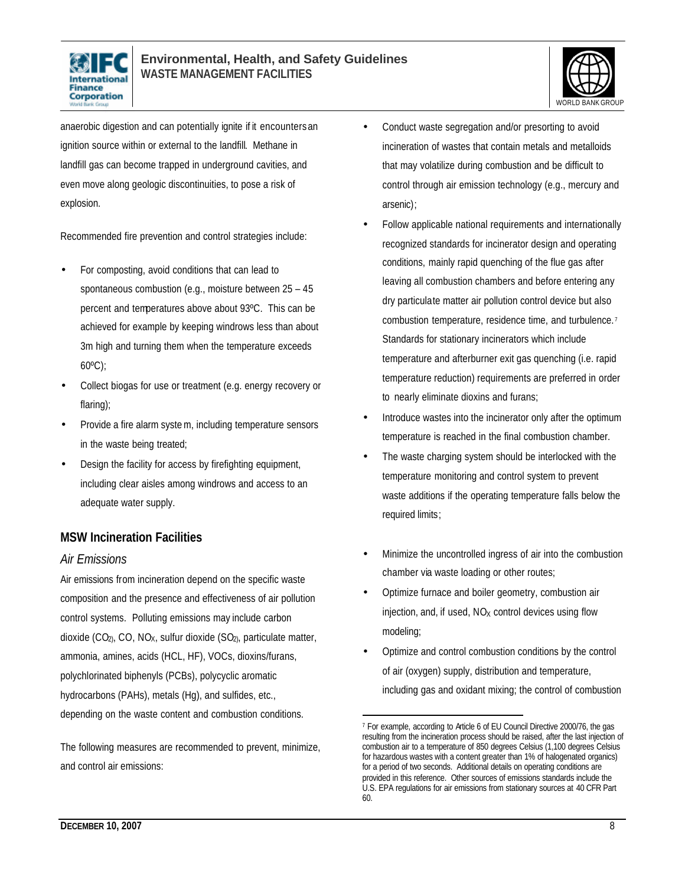



anaerobic digestion and can potentially ignite if it encounters an ignition source within or external to the landfill. Methane in landfill gas can become trapped in underground cavities, and even move along geologic discontinuities, to pose a risk of explosion.

Recommended fire prevention and control strategies include:

- For composting, avoid conditions that can lead to spontaneous combustion (e.g., moisture between 25 – 45 percent and temperatures above about 93ºC. This can be achieved for example by keeping windrows less than about 3m high and turning them when the temperature exceeds 60ºC);
- Collect biogas for use or treatment (e.g. energy recovery or flaring);
- Provide a fire alarm system, including temperature sensors in the waste being treated;
- Design the facility for access by firefighting equipment, including clear aisles among windrows and access to an adequate water supply.

### **MSW Incineration Facilities**

### *Air Emissions*

Air emissions from incineration depend on the specific waste composition and the presence and effectiveness of air pollution control systems. Polluting emissions may include carbon dioxide  $(CO_2, CO, NO_X,$  sulfur dioxide  $(SO_2,$  particulate matter, ammonia, amines, acids (HCL, HF), VOCs, dioxins/furans, polychlorinated biphenyls (PCBs), polycyclic aromatic hydrocarbons (PAHs), metals (Hg), and sulfides, etc., depending on the waste content and combustion conditions.

The following measures are recommended to prevent, minimize, and control air emissions:

- Conduct waste segregation and/or presorting to avoid incineration of wastes that contain metals and metalloids that may volatilize during combustion and be difficult to control through air emission technology (e.g., mercury and arsenic);
- Follow applicable national requirements and internationally recognized standards for incinerator design and operating conditions, mainly rapid quenching of the flue gas after leaving all combustion chambers and before entering any dry particulate matter air pollution control device but also combustion temperature, residence time, and turbulence. <sup>7</sup> Standards for stationary incinerators which include temperature and afterburner exit gas quenching (i.e. rapid temperature reduction) requirements are preferred in order to nearly eliminate dioxins and furans;
- Introduce wastes into the incinerator only after the optimum temperature is reached in the final combustion chamber.
- The waste charging system should be interlocked with the temperature monitoring and control system to prevent waste additions if the operating temperature falls below the required limits;
- Minimize the uncontrolled ingress of air into the combustion chamber via waste loading or other routes;
- Optimize furnace and boiler geometry, combustion air injection, and, if used,  $NO<sub>X</sub>$  control devices using flow modeling;
- Optimize and control combustion conditions by the control of air (oxygen) supply, distribution and temperature, including gas and oxidant mixing; the control of combustion

 $\overline{a}$ 7 For example, according to Article 6 of EU Council Directive 2000/76, the gas resulting from the incineration process should be raised, after the last injection of combustion air to a temperature of 850 degrees Celsius (1,100 degrees Celsius for hazardous wastes with a content greater than 1% of halogenated organics) for a period of two seconds. Additional details on operating conditions are provided in this reference. Other sources of emissions standards include the U.S. EPA regulations for air emissions from stationary sources at 40 CFR Part 60.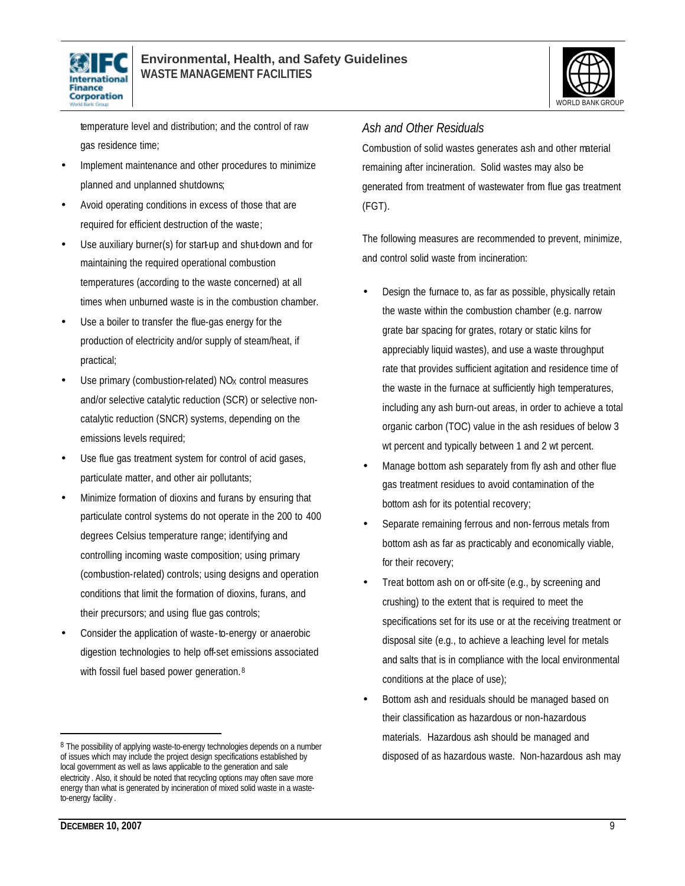



temperature level and distribution; and the control of raw gas residence time;

- Implement maintenance and other procedures to minimize planned and unplanned shutdowns;
- Avoid operating conditions in excess of those that are required for efficient destruction of the waste;
- Use auxiliary burner(s) for start-up and shut-down and for maintaining the required operational combustion temperatures (according to the waste concerned) at all times when unburned waste is in the combustion chamber.
- Use a boiler to transfer the flue-gas energy for the production of electricity and/or supply of steam/heat, if practical;
- Use primary (combustion-related) NO<sub>x</sub> control measures and/or selective catalytic reduction (SCR) or selective noncatalytic reduction (SNCR) systems, depending on the emissions levels required;
- Use flue gas treatment system for control of acid gases, particulate matter, and other air pollutants;
- Minimize formation of dioxins and furans by ensuring that particulate control systems do not operate in the 200 to 400 degrees Celsius temperature range; identifying and controlling incoming waste composition; using primary (combustion-related) controls; using designs and operation conditions that limit the formation of dioxins, furans, and their precursors; and using flue gas controls;
- Consider the application of waste-to-energy or anaerobic digestion technologies to help off-set emissions associated with fossil fuel based power generation.<sup>8</sup>

### *Ash and Other Residuals*

Combustion of solid wastes generates ash and other material remaining after incineration. Solid wastes may also be generated from treatment of wastewater from flue gas treatment (FGT).

The following measures are recommended to prevent, minimize, and control solid waste from incineration:

- Design the furnace to, as far as possible, physically retain the waste within the combustion chamber (e.g. narrow grate bar spacing for grates, rotary or static kilns for appreciably liquid wastes), and use a waste throughput rate that provides sufficient agitation and residence time of the waste in the furnace at sufficiently high temperatures, including any ash burn-out areas, in order to achieve a total organic carbon (TOC) value in the ash residues of below 3 wt percent and typically between 1 and 2 wt percent.
- Manage bottom ash separately from fly ash and other flue gas treatment residues to avoid contamination of the bottom ash for its potential recovery;
- Separate remaining ferrous and non-ferrous metals from bottom ash as far as practicably and economically viable, for their recovery;
- Treat bottom ash on or off-site (e.g., by screening and crushing) to the extent that is required to meet the specifications set for its use or at the receiving treatment or disposal site (e.g., to achieve a leaching level for metals and salts that is in compliance with the local environmental conditions at the place of use);
- Bottom ash and residuals should be managed based on their classification as hazardous or non-hazardous materials. Hazardous ash should be managed and disposed of as hazardous waste. Non-hazardous ash may

<sup>8</sup> The possibility of applying waste-to-energy technologies depends on a number of issues which may include the project design specifications established by local government as well as laws applicable to the generation and sale electricity . Also, it should be noted that recycling options may often save more energy than what is generated by incineration of mixed solid waste in a wasteto-energy facility .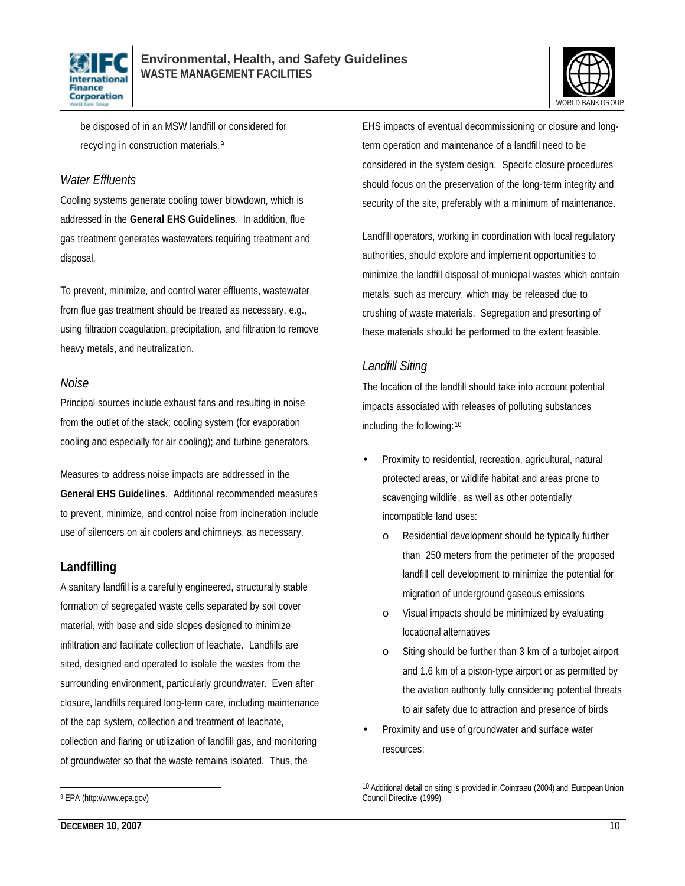



be disposed of in an MSW landfill or considered for recycling in construction materials. <sup>9</sup>

### *Water Effluents*

Cooling systems generate cooling tower blowdown, which is addressed in the **General EHS Guidelines**. In addition, flue gas treatment generates wastewaters requiring treatment and disposal.

To prevent, minimize, and control water effluents, wastewater from flue gas treatment should be treated as necessary, e.g., using filtration coagulation, precipitation, and filtration to remove heavy metals, and neutralization.

### *Noise*

Principal sources include exhaust fans and resulting in noise from the outlet of the stack; cooling system (for evaporation cooling and especially for air cooling); and turbine generators.

Measures to address noise impacts are addressed in the **General EHS Guidelines**. Additional recommended measures to prevent, minimize, and control noise from incineration include use of silencers on air coolers and chimneys, as necessary.

### **Landfilling**

A sanitary landfill is a carefully engineered, structurally stable formation of segregated waste cells separated by soil cover material, with base and side slopes designed to minimize infiltration and facilitate collection of leachate. Landfills are sited, designed and operated to isolate the wastes from the surrounding environment, particularly groundwater. Even after closure, landfills required long-term care, including maintenance of the cap system, collection and treatment of leachate, collection and flaring or utilization of landfill gas, and monitoring of groundwater so that the waste remains isolated. Thus, the

EHS impacts of eventual decommissioning or closure and longterm operation and maintenance of a landfill need to be considered in the system design. Specific closure procedures should focus on the preservation of the long-term integrity and security of the site, preferably with a minimum of maintenance.

Landfill operators, working in coordination with local regulatory authorities, should explore and implement opportunities to minimize the landfill disposal of municipal wastes which contain metals, such as mercury, which may be released due to crushing of waste materials. Segregation and presorting of these materials should be performed to the extent feasible.

### *Landfill Siting*

 $\overline{a}$ 

The location of the landfill should take into account potential impacts associated with releases of polluting substances including the following:<sup>10</sup>

- Proximity to residential, recreation, agricultural, natural protected areas, or wildlife habitat and areas prone to scavenging wildlife, as well as other potentially incompatible land uses:
	- o Residential development should be typically further than 250 meters from the perimeter of the proposed landfill cell development to minimize the potential for migration of underground gaseous emissions
	- o Visual impacts should be minimized by evaluating locational alternatives
	- o Siting should be further than 3 km of a turbojet airport and 1.6 km of a piston-type airport or as permitted by the aviation authority fully considering potential threats to air safety due to attraction and presence of birds
- Proximity and use of groundwater and surface water resources;

<sup>10</sup> Additional detail on siting is provided in Cointraeu (2004) and European Union Council Directive (1999).

<sup>9</sup> EPA (http://www.epa.gov)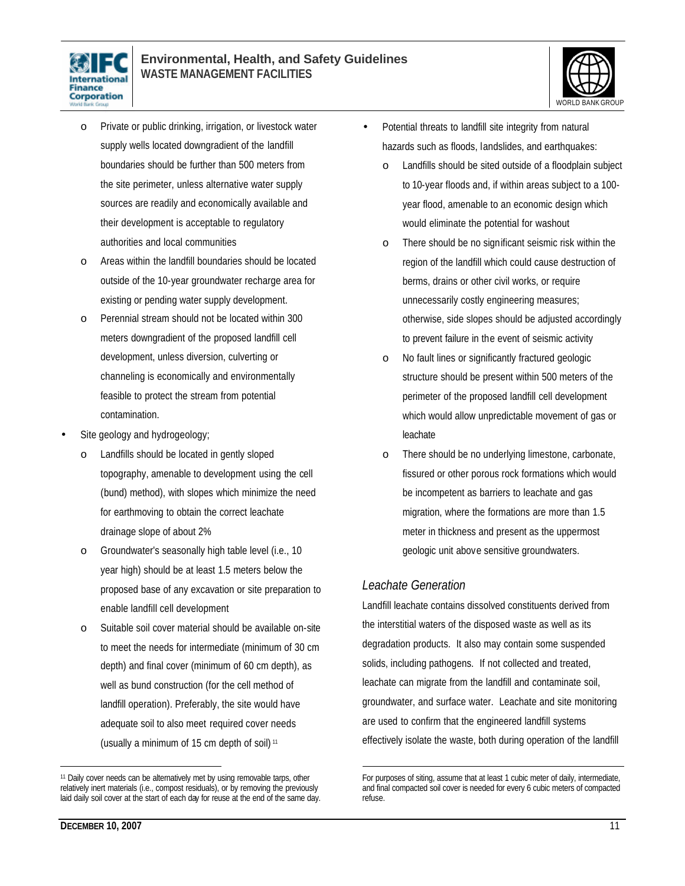



- o Private or public drinking, irrigation, or livestock water supply wells located downgradient of the landfill boundaries should be further than 500 meters from the site perimeter, unless alternative water supply sources are readily and economically available and their development is acceptable to regulatory authorities and local communities
- o Areas within the landfill boundaries should be located outside of the 10-year groundwater recharge area for existing or pending water supply development.
- o Perennial stream should not be located within 300 meters downgradient of the proposed landfill cell development, unless diversion, culverting or channeling is economically and environmentally feasible to protect the stream from potential contamination.
- Site geology and hydrogeology;
	- o Landfills should be located in gently sloped topography, amenable to development using the cell (bund) method), with slopes which minimize the need for earthmoving to obtain the correct leachate drainage slope of about 2%
	- o Groundwater's seasonally high table level (i.e., 10 year high) should be at least 1.5 meters below the proposed base of any excavation or site preparation to enable landfill cell development
	- o Suitable soil cover material should be available on-site to meet the needs for intermediate (minimum of 30 cm depth) and final cover (minimum of 60 cm depth), as well as bund construction (for the cell method of landfill operation). Preferably, the site would have adequate soil to also meet required cover needs (usually a minimum of 15 cm depth of soil) <sup>11</sup>
- Potential threats to landfill site integrity from natural hazards such as floods, landslides, and earthquakes:
	- o Landfills should be sited outside of a floodplain subject to 10-year floods and, if within areas subject to a 100 year flood, amenable to an economic design which would eliminate the potential for washout
	- o There should be no significant seismic risk within the region of the landfill which could cause destruction of berms, drains or other civil works, or require unnecessarily costly engineering measures; otherwise, side slopes should be adjusted accordingly to prevent failure in the event of seismic activity
	- o No fault lines or significantly fractured geologic structure should be present within 500 meters of the perimeter of the proposed landfill cell development which would allow unpredictable movement of gas or leachate
	- o There should be no underlying limestone, carbonate, fissured or other porous rock formations which would be incompetent as barriers to leachate and gas migration, where the formations are more than 1.5 meter in thickness and present as the uppermost geologic unit above sensitive groundwaters.

### *Leachate Generation*

 $\overline{a}$ 

Landfill leachate contains dissolved constituents derived from the interstitial waters of the disposed waste as well as its degradation products. It also may contain some suspended solids, including pathogens. If not collected and treated, leachate can migrate from the landfill and contaminate soil, groundwater, and surface water. Leachate and site monitoring are used to confirm that the engineered landfill systems effectively isolate the waste, both during operation of the landfill

<sup>&</sup>lt;sup>11</sup> Daily cover needs can be alternatively met by using removable tarps, other relatively inert materials (i.e., compost residuals), or by removing the previously laid daily soil cover at the start of each day for reuse at the end of the same day.

For purposes of siting, assume that at least 1 cubic meter of daily, intermediate, and final compacted soil cover is needed for every 6 cubic meters of compacted refuse.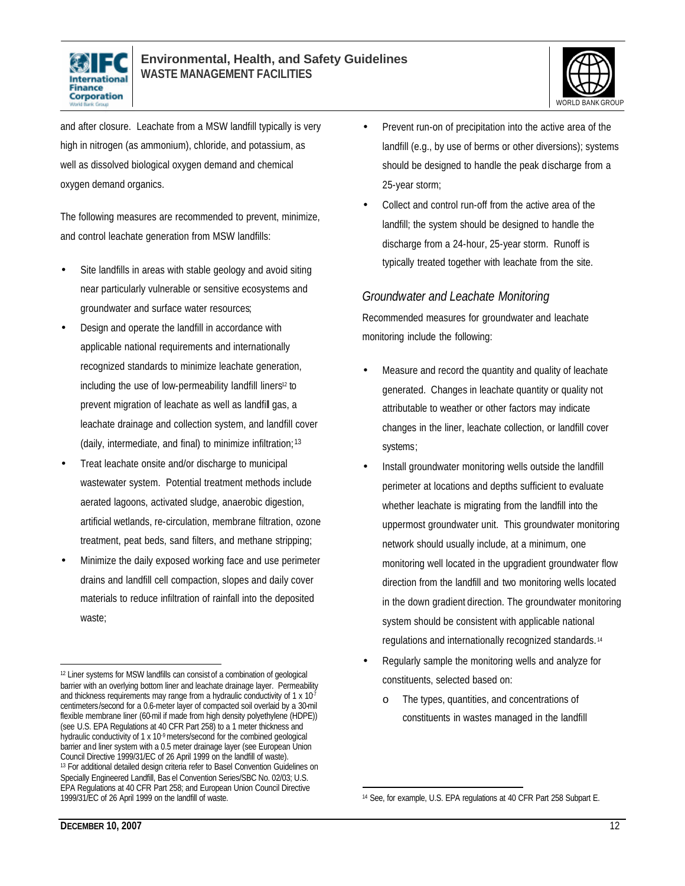



and after closure. Leachate from a MSW landfill typically is very high in nitrogen (as ammonium), chloride, and potassium, as well as dissolved biological oxygen demand and chemical oxygen demand organics.

The following measures are recommended to prevent, minimize, and control leachate generation from MSW landfills:

- Site landfills in areas with stable geology and avoid siting near particularly vulnerable or sensitive ecosystems and groundwater and surface water resources;
- Design and operate the landfill in accordance with applicable national requirements and internationally recognized standards to minimize leachate generation, including the use of low-permeability landfill liners<sup>12</sup> to prevent migration of leachate as well as landfill gas, a leachate drainage and collection system, and landfill cover (daily, intermediate, and final) to minimize infiltration; 13
- Treat leachate onsite and/or discharge to municipal wastewater system. Potential treatment methods include aerated lagoons, activated sludge, anaerobic digestion, artificial wetlands, re-circulation, membrane filtration, ozone treatment, peat beds, sand filters, and methane stripping;
- Minimize the daily exposed working face and use perimeter drains and landfill cell compaction, slopes and daily cover materials to reduce infiltration of rainfall into the deposited waste;
- Prevent run-on of precipitation into the active area of the landfill (e.g., by use of berms or other diversions); systems should be designed to handle the peak discharge from a 25-year storm;
- Collect and control run-off from the active area of the landfill; the system should be designed to handle the discharge from a 24-hour, 25-year storm. Runoff is typically treated together with leachate from the site.

### *Groundwater and Leachate Monitoring*

Recommended measures for groundwater and leachate monitoring include the following:

- Measure and record the quantity and quality of leachate generated. Changes in leachate quantity or quality not attributable to weather or other factors may indicate changes in the liner, leachate collection, or landfill cover systems;
- Install groundwater monitoring wells outside the landfill perimeter at locations and depths sufficient to evaluate whether leachate is migrating from the landfill into the uppermost groundwater unit. This groundwater monitoring network should usually include, at a minimum, one monitoring well located in the upgradient groundwater flow direction from the landfill and two monitoring wells located in the down gradient direction. The groundwater monitoring system should be consistent with applicable national regulations and internationally recognized standards. <sup>14</sup>
- Regularly sample the monitoring wells and analyze for constituents, selected based on:
	- o The types, quantities, and concentrations of constituents in wastes managed in the landfill

<sup>12</sup> Liner systems for MSW landfills can consist of a combination of geological barrier with an overlying bottom liner and leachate drainage layer. Permeability and thickness requirements may range from a hydraulic conductivity of 1  $\times$  10<sup>7</sup> centimeters/second for a 0.6-meter layer of compacted soil overlaid by a 30-mil flexible membrane liner (60-mil if made from high density polyethylene (HDPE)) (see U.S. EPA Regulations at 40 CFR Part 258) to a 1 meter thickness and hydraulic conductivity of 1 x 10<sup>-9</sup> meters/second for the combined geological barrier and liner system with a 0.5 meter drainage layer (see European Union Council Directive 1999/31/EC of 26 April 1999 on the landfill of waste). <sup>13</sup> For additional detailed design criteria refer to Basel Convention Guidelines on Specially Engineered Landfill, Bas el Convention Series/SBC No. 02/03; U.S. EPA Regulations at 40 CFR Part 258; and European Union Council Directive 1999/31/EC of 26 April 1999 on the landfill of waste.

 $\overline{a}$ <sup>14</sup> See, for example, U.S. EPA regulations at 40 CFR Part 258 Subpart E.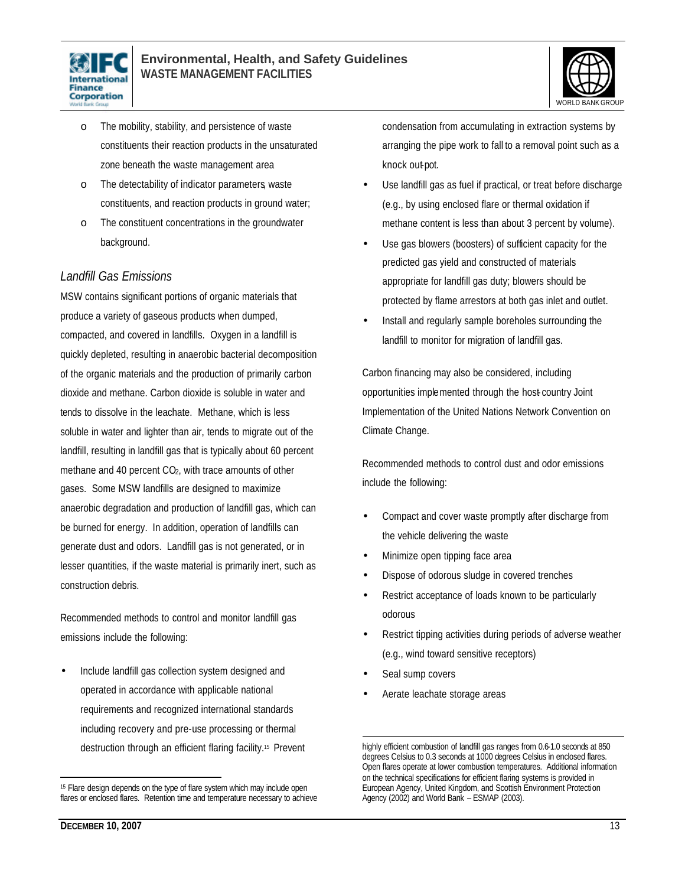



- o The mobility, stability, and persistence of waste constituents their reaction products in the unsaturated zone beneath the waste management area
- o The detectability of indicator parameters, waste constituents, and reaction products in ground water;
- o The constituent concentrations in the groundwater background.

### *Landfill Gas Emissions*

MSW contains significant portions of organic materials that produce a variety of gaseous products when dumped, compacted, and covered in landfills. Oxygen in a landfill is quickly depleted, resulting in anaerobic bacterial decomposition of the organic materials and the production of primarily carbon dioxide and methane. Carbon dioxide is soluble in water and tends to dissolve in the leachate. Methane, which is less soluble in water and lighter than air, tends to migrate out of the landfill, resulting in landfill gas that is typically about 60 percent methane and 40 percent CO<sub>2</sub>, with trace amounts of other gases. Some MSW landfills are designed to maximize anaerobic degradation and production of landfill gas, which can be burned for energy. In addition, operation of landfills can generate dust and odors. Landfill gas is not generated, or in lesser quantities, if the waste material is primarily inert, such as construction debris.

Recommended methods to control and monitor landfill gas emissions include the following:

• Include landfill gas collection system designed and operated in accordance with applicable national requirements and recognized international standards including recovery and pre-use processing or thermal destruction through an efficient flaring facility.15 Prevent condensation from accumulating in extraction systems by arranging the pipe work to fall to a removal point such as a knock out-pot.

- Use landfill gas as fuel if practical, or treat before discharge (e.g., by using enclosed flare or thermal oxidation if methane content is less than about 3 percent by volume).
- Use gas blowers (boosters) of sufficient capacity for the predicted gas yield and constructed of materials appropriate for landfill gas duty; blowers should be protected by flame arrestors at both gas inlet and outlet.
- Install and regularly sample boreholes surrounding the landfill to monitor for migration of landfill gas.

Carbon financing may also be considered, including opportunities implemented through the host- country Joint Implementation of the United Nations Network Convention on Climate Change.

Recommended methods to control dust and odor emissions include the following:

- Compact and cover waste promptly after discharge from the vehicle delivering the waste
- Minimize open tipping face area
- Dispose of odorous sludge in covered trenches
- Restrict acceptance of loads known to be particularly odorous
- Restrict tipping activities during periods of adverse weather (e.g., wind toward sensitive receptors)
- Seal sump covers
- Aerate leachate storage areas

<sup>&</sup>lt;sup>15</sup> Flare design depends on the type of flare system which may include open flares or enclosed flares. Retention time and temperature necessary to achieve

 $\overline{a}$ highly efficient combustion of landfill gas ranges from 0.6-1.0 seconds at 850 degrees Celsius to 0.3 seconds at 1000 degrees Celsius in enclosed flares. Open flares operate at lower combustion temperatures. Additional information on the technical specifications for efficient flaring systems is provided in European Agency, United Kingdom, and Scottish Environment Protection Agency (2002) and World Bank – ESMAP (2003).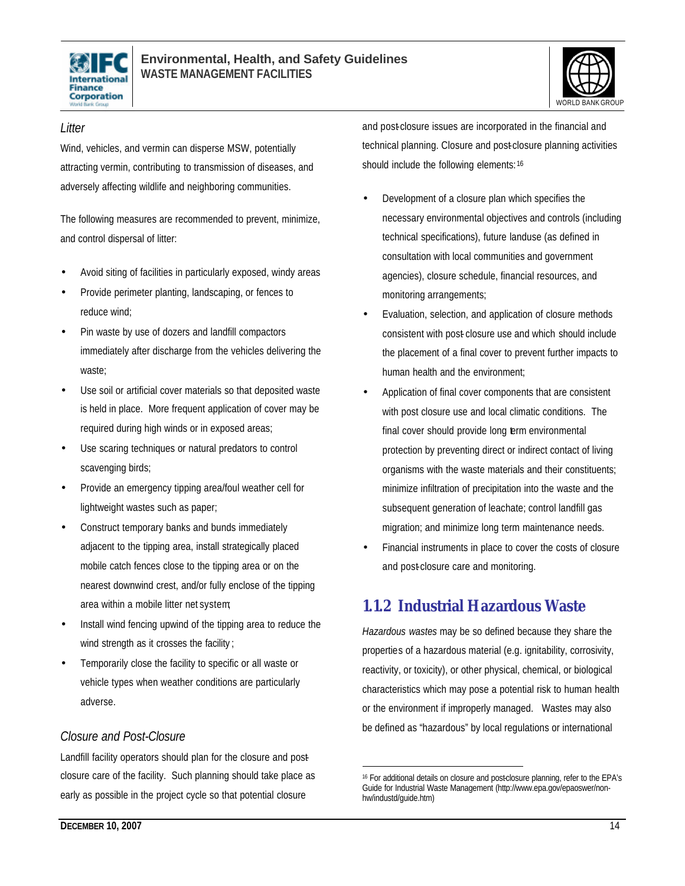



### *Litter*

Wind, vehicles, and vermin can disperse MSW, potentially attracting vermin, contributing to transmission of diseases, and adversely affecting wildlife and neighboring communities.

The following measures are recommended to prevent, minimize, and control dispersal of litter:

- Avoid siting of facilities in particularly exposed, windy areas
- Provide perimeter planting, landscaping, or fences to reduce wind;
- Pin waste by use of dozers and landfill compactors immediately after discharge from the vehicles delivering the waste;
- Use soil or artificial cover materials so that deposited waste is held in place. More frequent application of cover may be required during high winds or in exposed areas;
- Use scaring techniques or natural predators to control scavenging birds;
- Provide an emergency tipping area/foul weather cell for lightweight wastes such as paper;
- Construct temporary banks and bunds immediately adjacent to the tipping area, install strategically placed mobile catch fences close to the tipping area or on the nearest downwind crest, and/or fully enclose of the tipping area within a mobile litter net system;
- Install wind fencing upwind of the tipping area to reduce the wind strength as it crosses the facility;
- Temporarily close the facility to specific or all waste or vehicle types when weather conditions are particularly adverse.

### *Closure and Post-Closure*

Landfill facility operators should plan for the closure and postclosure care of the facility. Such planning should take place as early as possible in the project cycle so that potential closure

and post-closure issues are incorporated in the financial and technical planning. Closure and post-closure planning activities should include the following elements: 16

- Development of a closure plan which specifies the necessary environmental objectives and controls (including technical specifications), future landuse (as defined in consultation with local communities and government agencies), closure schedule, financial resources, and monitoring arrangements;
- Evaluation, selection, and application of closure methods consistent with post- closure use and which should include the placement of a final cover to prevent further impacts to human health and the environment;
- Application of final cover components that are consistent with post closure use and local climatic conditions. The final cover should provide long term environmental protection by preventing direct or indirect contact of living organisms with the waste materials and their constituents; minimize infiltration of precipitation into the waste and the subsequent generation of leachate; control landfill gas migration; and minimize long term maintenance needs.
- Financial instruments in place to cover the costs of closure and post-closure care and monitoring.

## **1.1.2 Industrial Hazardous Waste**

*Hazardous wastes* may be so defined because they share the properties of a hazardous material (e.g. ignitability, corrosivity, reactivity, or toxicity), or other physical, chemical, or biological characteristics which may pose a potential risk to human health or the environment if improperly managed. Wastes may also be defined as "hazardous" by local regulations or international

<sup>&</sup>lt;sup>16</sup> For additional details on closure and post-closure planning, refer to the EPA's Guide for Industrial Waste Management (http://www.epa.gov/epaoswer/nonhw/industd/guide.htm)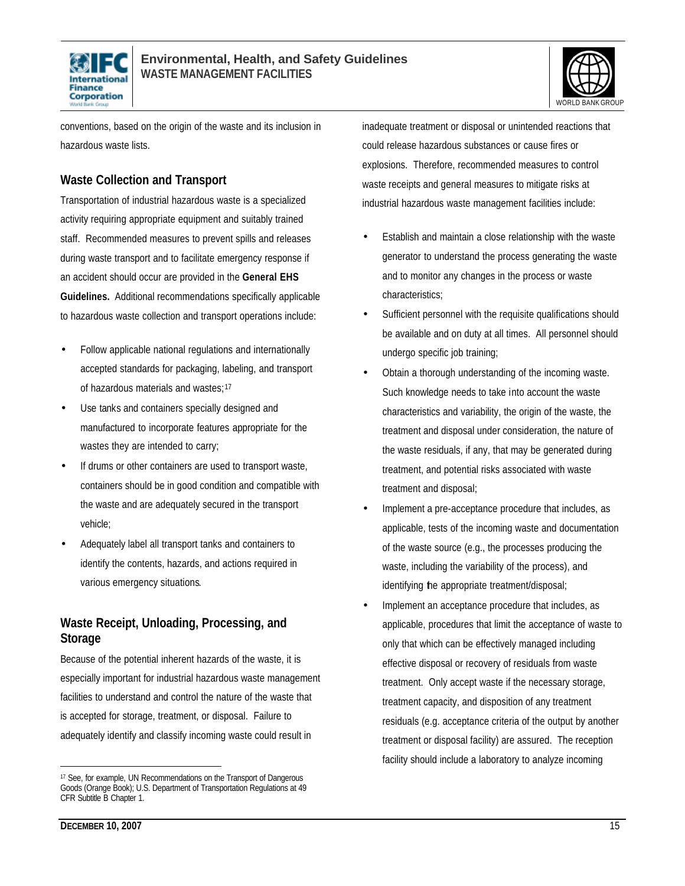



conventions, based on the origin of the waste and its inclusion in hazardous waste lists.

### **Waste Collection and Transport**

Transportation of industrial hazardous waste is a specialized activity requiring appropriate equipment and suitably trained staff. Recommended measures to prevent spills and releases during waste transport and to facilitate emergency response if an accident should occur are provided in the **General EHS Guidelines.** Additional recommendations specifically applicable to hazardous waste collection and transport operations include:

- Follow applicable national regulations and internationally accepted standards for packaging, labeling, and transport of hazardous materials and wastes;<sup>17</sup>
- Use tanks and containers specially designed and manufactured to incorporate features appropriate for the wastes they are intended to carry;
- If drums or other containers are used to transport waste, containers should be in good condition and compatible with the waste and are adequately secured in the transport vehicle;
- Adequately label all transport tanks and containers to identify the contents, hazards, and actions required in various emergency situations.

### **Waste Receipt, Unloading, Processing, and Storage**

Because of the potential inherent hazards of the waste, it is especially important for industrial hazardous waste management facilities to understand and control the nature of the waste that is accepted for storage, treatment, or disposal. Failure to adequately identify and classify incoming waste could result in

inadequate treatment or disposal or unintended reactions that could release hazardous substances or cause fires or explosions. Therefore, recommended measures to control waste receipts and general measures to mitigate risks at industrial hazardous waste management facilities include:

- Establish and maintain a close relationship with the waste generator to understand the process generating the waste and to monitor any changes in the process or waste characteristics;
- Sufficient personnel with the requisite qualifications should be available and on duty at all times. All personnel should undergo specific job training;
- Obtain a thorough understanding of the incoming waste. Such knowledge needs to take into account the waste characteristics and variability, the origin of the waste, the treatment and disposal under consideration, the nature of the waste residuals, if any, that may be generated during treatment, and potential risks associated with waste treatment and disposal;
- Implement a pre-acceptance procedure that includes, as applicable, tests of the incoming waste and documentation of the waste source (e.g., the processes producing the waste, including the variability of the process), and identifying the appropriate treatment/disposal;
- Implement an acceptance procedure that includes, as applicable, procedures that limit the acceptance of waste to only that which can be effectively managed including effective disposal or recovery of residuals from waste treatment. Only accept waste if the necessary storage, treatment capacity, and disposition of any treatment residuals (e.g. acceptance criteria of the output by another treatment or disposal facility) are assured. The reception facility should include a laboratory to analyze incoming

<sup>&</sup>lt;sup>17</sup> See, for example, UN Recommendations on the Transport of Dangerous Goods (Orange Book); U.S. Department of Transportation Regulations at 49 CFR Subtitle B Chapter 1.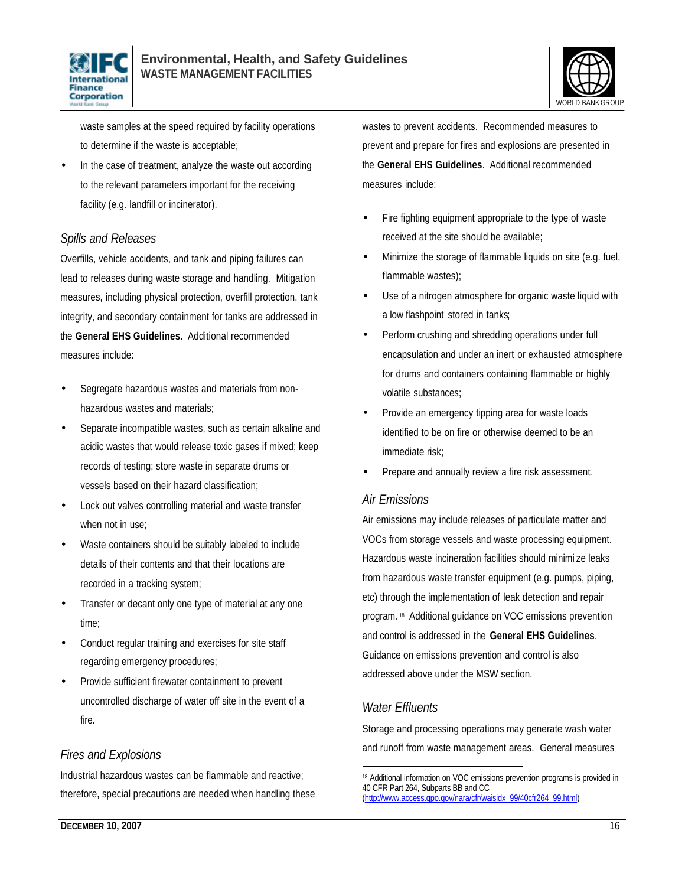



waste samples at the speed required by facility operations to determine if the waste is acceptable;

In the case of treatment, analyze the waste out according to the relevant parameters important for the receiving facility (e.g. landfill or incinerator).

### *Spills and Releases*

Overfills, vehicle accidents, and tank and piping failures can lead to releases during waste storage and handling. Mitigation measures, including physical protection, overfill protection, tank integrity, and secondary containment for tanks are addressed in the **General EHS Guidelines**. Additional recommended measures include:

- Segregate hazardous wastes and materials from nonhazardous wastes and materials;
- Separate incompatible wastes, such as certain alkaline and acidic wastes that would release toxic gases if mixed; keep records of testing; store waste in separate drums or vessels based on their hazard classification;
- Lock out valves controlling material and waste transfer when not in use;
- Waste containers should be suitably labeled to include details of their contents and that their locations are recorded in a tracking system;
- Transfer or decant only one type of material at any one time;
- Conduct regular training and exercises for site staff regarding emergency procedures;
- Provide sufficient firewater containment to prevent uncontrolled discharge of water off site in the event of a fire.

### *Fires and Explosions*

Industrial hazardous wastes can be flammable and reactive; therefore, special precautions are needed when handling these wastes to prevent accidents. Recommended measures to prevent and prepare for fires and explosions are presented in the **General EHS Guidelines**. Additional recommended measures include:

- Fire fighting equipment appropriate to the type of waste received at the site should be available;
- Minimize the storage of flammable liquids on site (e.g. fuel, flammable wastes);
- Use of a nitrogen atmosphere for organic waste liquid with a low flashpoint stored in tanks;
- Perform crushing and shredding operations under full encapsulation and under an inert or exhausted atmosphere for drums and containers containing flammable or highly volatile substances;
- Provide an emergency tipping area for waste loads identified to be on fire or otherwise deemed to be an immediate risk;
- Prepare and annually review a fire risk assessment.

### *Air Emissions*

Air emissions may include releases of particulate matter and VOCs from storage vessels and waste processing equipment. Hazardous waste incineration facilities should minimi ze leaks from hazardous waste transfer equipment (e.g. pumps, piping, etc) through the implementation of leak detection and repair program. <sup>18</sup> Additional guidance on VOC emissions prevention and control is addressed in the **General EHS Guidelines**. Guidance on emissions prevention and control is also addressed above under the MSW section.

### *Water Effluents*

Storage and processing operations may generate wash water and runoff from waste management areas. General measures

 $\overline{a}$ <sup>18</sup> Additional information on VOC emissions prevention programs is provided in 40 CFR Part 264, Subparts BB and CC (http://www.access.gpo.gov/nara/cfr/waisidx\_99/40cfr264\_99.html)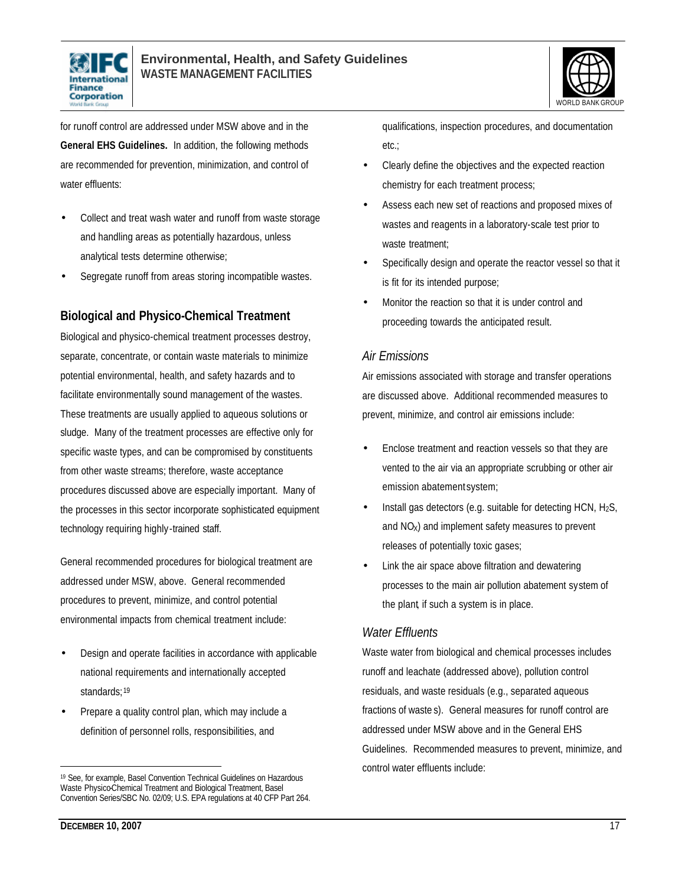



for runoff control are addressed under MSW above and in the **General EHS Guidelines.** In addition, the following methods are recommended for prevention, minimization, and control of water effluents:

- Collect and treat wash water and runoff from waste storage and handling areas as potentially hazardous, unless analytical tests determine otherwise;
- Segregate runoff from areas storing incompatible wastes.

### **Biological and Physico-Chemical Treatment**

Biological and physico-chemical treatment processes destroy, separate, concentrate, or contain waste materials to minimize potential environmental, health, and safety hazards and to facilitate environmentally sound management of the wastes. These treatments are usually applied to aqueous solutions or sludge. Many of the treatment processes are effective only for specific waste types, and can be compromised by constituents from other waste streams; therefore, waste acceptance procedures discussed above are especially important. Many of the processes in this sector incorporate sophisticated equipment technology requiring highly-trained staff.

General recommended procedures for biological treatment are addressed under MSW, above. General recommended procedures to prevent, minimize, and control potential environmental impacts from chemical treatment include:

- Design and operate facilities in accordance with applicable national requirements and internationally accepted standards;<sup>19</sup>
- Prepare a quality control plan, which may include a definition of personnel rolls, responsibilities, and

qualifications, inspection procedures, and documentation etc.;

- Clearly define the objectives and the expected reaction chemistry for each treatment process;
- Assess each new set of reactions and proposed mixes of wastes and reagents in a laboratory-scale test prior to waste treatment;
- Specifically design and operate the reactor vessel so that it is fit for its intended purpose;
- Monitor the reaction so that it is under control and proceeding towards the anticipated result.

### *Air Emissions*

Air emissions associated with storage and transfer operations are discussed above. Additional recommended measures to prevent, minimize, and control air emissions include:

- Enclose treatment and reaction vessels so that they are vented to the air via an appropriate scrubbing or other air emission abatement system;
- Install gas detectors (e.g. suitable for detecting  $HCN$ ,  $H_2S$ , and NO<sub>x</sub>) and implement safety measures to prevent releases of potentially toxic gases;
- Link the air space above filtration and dewatering processes to the main air pollution abatement system of the plant, if such a system is in place.

### *Water Effluents*

Waste water from biological and chemical processes includes runoff and leachate (addressed above), pollution control residuals, and waste residuals (e.g., separated aqueous fractions of waste s). General measures for runoff control are addressed under MSW above and in the General EHS Guidelines. Recommended measures to prevent, minimize, and control water effluents include:

<sup>&</sup>lt;sup>19</sup> See, for example, Basel Convention Technical Guidelines on Hazardous Waste Physico-Chemical Treatment and Biological Treatment, Basel Convention Series/SBC No. 02/09; U.S. EPA regulations at 40 CFP Part 264.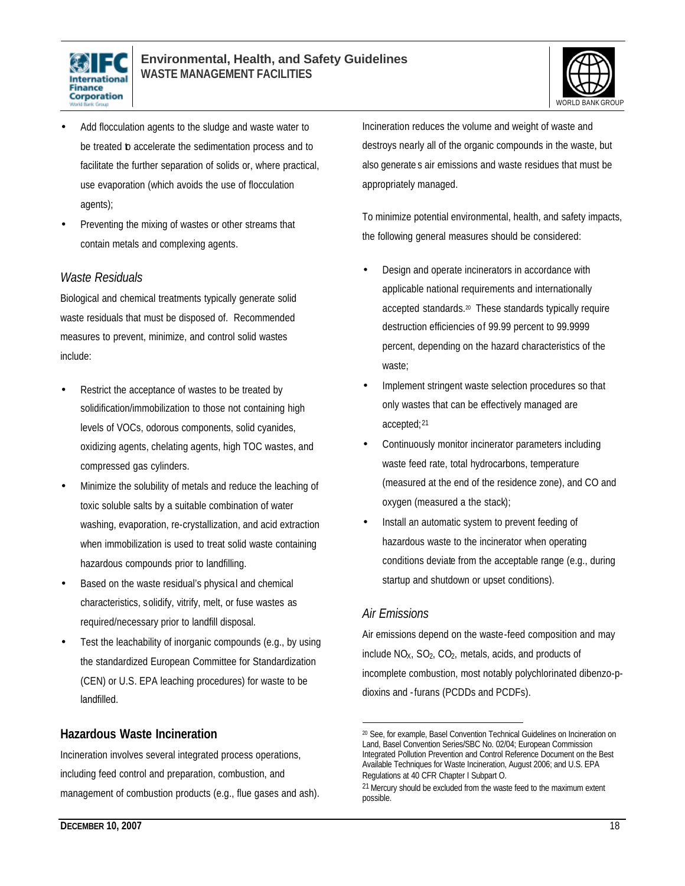



- Add flocculation agents to the sludge and waste water to be treated **b** accelerate the sedimentation process and to facilitate the further separation of solids or, where practical, use evaporation (which avoids the use of flocculation agents);
- Preventing the mixing of wastes or other streams that contain metals and complexing agents.

### *Waste Residuals*

Biological and chemical treatments typically generate solid waste residuals that must be disposed of. Recommended measures to prevent, minimize, and control solid wastes include:

- Restrict the acceptance of wastes to be treated by solidification/immobilization to those not containing high levels of VOCs, odorous components, solid cyanides, oxidizing agents, chelating agents, high TOC wastes, and compressed gas cylinders.
- Minimize the solubility of metals and reduce the leaching of toxic soluble salts by a suitable combination of water washing, evaporation, re-crystallization, and acid extraction when immobilization is used to treat solid waste containing hazardous compounds prior to landfilling.
- Based on the waste residual's physical and chemical characteristics, solidify, vitrify, melt, or fuse wastes as required/necessary prior to landfill disposal.
- Test the leachability of inorganic compounds (e.g., by using the standardized European Committee for Standardization (CEN) or U.S. EPA leaching procedures) for waste to be landfilled.

### **Hazardous Waste Incineration**

Incineration involves several integrated process operations, including feed control and preparation, combustion, and management of combustion products (e.g., flue gases and ash). Incineration reduces the volume and weight of waste and destroys nearly all of the organic compounds in the waste, but also generate s air emissions and waste residues that must be appropriately managed.

To minimize potential environmental, health, and safety impacts, the following general measures should be considered:

- Design and operate incinerators in accordance with applicable national requirements and internationally accepted standards.<sup>20</sup> These standards typically require destruction efficiencies of 99.99 percent to 99.9999 percent, depending on the hazard characteristics of the waste;
- Implement stringent waste selection procedures so that only wastes that can be effectively managed are accepted;<sup>21</sup>
- Continuously monitor incinerator parameters including waste feed rate, total hydrocarbons, temperature (measured at the end of the residence zone), and CO and oxygen (measured a the stack);
- Install an automatic system to prevent feeding of hazardous waste to the incinerator when operating conditions deviate from the acceptable range (e.g., during startup and shutdown or upset conditions).

### *Air Emissions*

 $\overline{a}$ 

Air emissions depend on the waste-feed composition and may include  $NO<sub>X</sub>$ ,  $SO<sub>2</sub>$ ,  $CO<sub>2</sub>$ , metals, acids, and products of incomplete combustion, most notably polychlorinated dibenzo-pdioxins and -furans (PCDDs and PCDFs).

<sup>20</sup> See, for example, Basel Convention Technical Guidelines on Incineration on Land, Basel Convention Series/SBC No. 02/04; European Commission Integrated Pollution Prevention and Control Reference Document on the Best Available Techniques for Waste Incineration, August 2006; and U.S. EPA Regulations at 40 CFR Chapter I Subpart O.

<sup>21</sup> Mercury should be excluded from the waste feed to the maximum extent possible.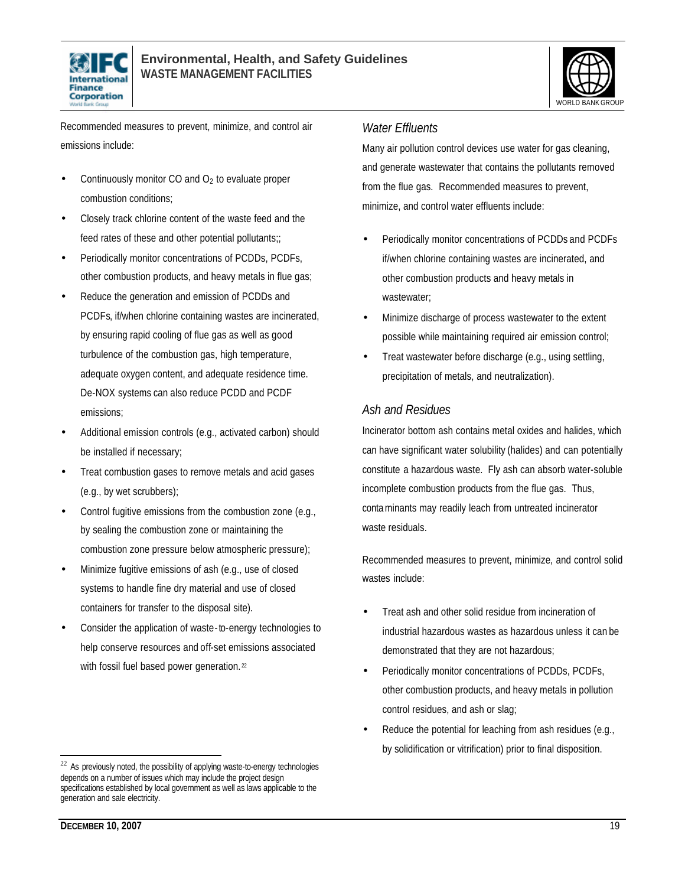



Recommended measures to prevent, minimize, and control air emissions include:

- Continuously monitor  $CO$  and  $O<sub>2</sub>$  to evaluate proper combustion conditions;
- Closely track chlorine content of the waste feed and the feed rates of these and other potential pollutants;;
- Periodically monitor concentrations of PCDDs, PCDFs, other combustion products, and heavy metals in flue gas;
- Reduce the generation and emission of PCDDs and PCDFs, if/when chlorine containing wastes are incinerated, by ensuring rapid cooling of flue gas as well as good turbulence of the combustion gas, high temperature, adequate oxygen content, and adequate residence time. De-NOX systems can also reduce PCDD and PCDF emissions;
- Additional emission controls (e.g., activated carbon) should be installed if necessary;
- Treat combustion gases to remove metals and acid gases (e.g., by wet scrubbers);
- Control fugitive emissions from the combustion zone (e.g., by sealing the combustion zone or maintaining the combustion zone pressure below atmospheric pressure);
- Minimize fugitive emissions of ash (e.g., use of closed systems to handle fine dry material and use of closed containers for transfer to the disposal site).
- Consider the application of waste-to-energy technologies to help conserve resources and off-set emissions associated with fossil fuel based power generation.<sup>22</sup>

#### *Water Effluents*

Many air pollution control devices use water for gas cleaning, and generate wastewater that contains the pollutants removed from the flue gas. Recommended measures to prevent, minimize, and control water effluents include:

- Periodically monitor concentrations of PCDDs and PCDFs if/when chlorine containing wastes are incinerated, and other combustion products and heavy metals in wastewater;
- Minimize discharge of process wastewater to the extent possible while maintaining required air emission control;
- Treat wastewater before discharge (e.g., using settling, precipitation of metals, and neutralization).

### *Ash and Residues*

Incinerator bottom ash contains metal oxides and halides, which can have significant water solubility (halides) and can potentially constitute a hazardous waste. Fly ash can absorb water-soluble incomplete combustion products from the flue gas. Thus, contaminants may readily leach from untreated incinerator waste residuals.

Recommended measures to prevent, minimize, and control solid wastes include:

- Treat ash and other solid residue from incineration of industrial hazardous wastes as hazardous unless it can be demonstrated that they are not hazardous;
- Periodically monitor concentrations of PCDDs, PCDFs, other combustion products, and heavy metals in pollution control residues, and ash or slag;
- Reduce the potential for leaching from ash residues (e.g., by solidification or vitrification) prior to final disposition.

<sup>&</sup>lt;sup>22</sup> As previously noted, the possibility of applying waste-to-energy technologies depends on a number of issues which may include the project design specifications established by local government as well as laws applicable to the generation and sale electricity.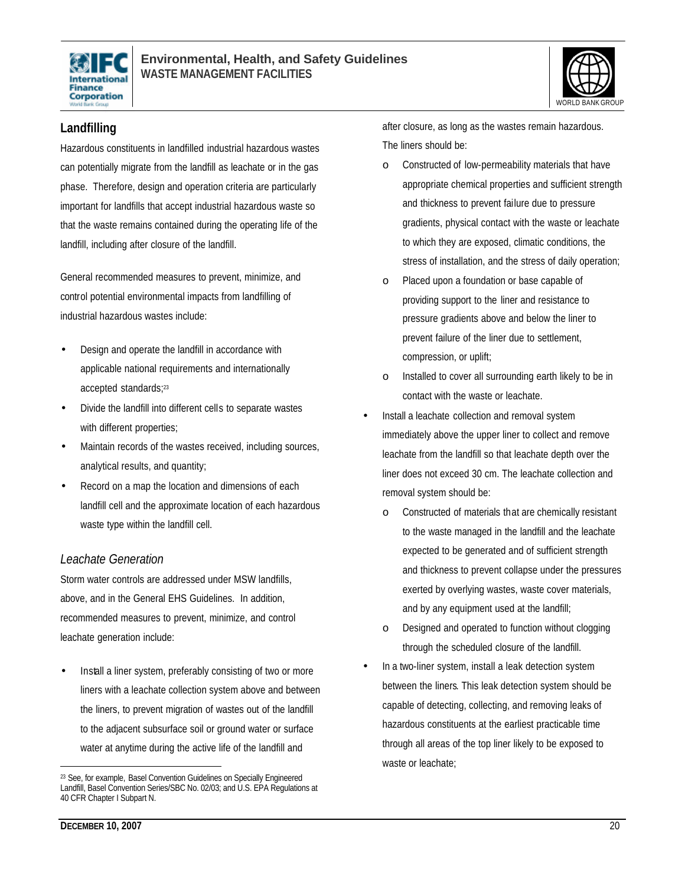



### **Landfilling**

Hazardous constituents in landfilled industrial hazardous wastes can potentially migrate from the landfill as leachate or in the gas phase. Therefore, design and operation criteria are particularly important for landfills that accept industrial hazardous waste so that the waste remains contained during the operating life of the landfill, including after closure of the landfill.

General recommended measures to prevent, minimize, and control potential environmental impacts from landfilling of industrial hazardous wastes include:

- Design and operate the landfill in accordance with applicable national requirements and internationally accepted standards;<sup>23</sup>
- Divide the landfill into different cells to separate wastes with different properties;
- Maintain records of the wastes received, including sources, analytical results, and quantity;
- Record on a map the location and dimensions of each landfill cell and the approximate location of each hazardous waste type within the landfill cell.

### *Leachate Generation*

Storm water controls are addressed under MSW landfills, above, and in the General EHS Guidelines. In addition, recommended measures to prevent, minimize, and control leachate generation include:

Install a liner system, preferably consisting of two or more liners with a leachate collection system above and between the liners, to prevent migration of wastes out of the landfill to the adjacent subsurface soil or ground water or surface water at anytime during the active life of the landfill and

after closure, as long as the wastes remain hazardous. The liners should be:

- o Constructed of low-permeability materials that have appropriate chemical properties and sufficient strength and thickness to prevent failure due to pressure gradients, physical contact with the waste or leachate to which they are exposed, climatic conditions, the stress of installation, and the stress of daily operation;
- o Placed upon a foundation or base capable of providing support to the liner and resistance to pressure gradients above and below the liner to prevent failure of the liner due to settlement, compression, or uplift;
- o Installed to cover all surrounding earth likely to be in contact with the waste or leachate.
- Install a leachate collection and removal system immediately above the upper liner to collect and remove leachate from the landfill so that leachate depth over the liner does not exceed 30 cm. The leachate collection and removal system should be:
	- o Constructed of materials that are chemically resistant to the waste managed in the landfill and the leachate expected to be generated and of sufficient strength and thickness to prevent collapse under the pressures exerted by overlying wastes, waste cover materials, and by any equipment used at the landfill;
	- o Designed and operated to function without clogging through the scheduled closure of the landfill.
- In a two-liner system, install a leak detection system between the liners. This leak detection system should be capable of detecting, collecting, and removing leaks of hazardous constituents at the earliest practicable time through all areas of the top liner likely to be exposed to waste or leachate;

<sup>&</sup>lt;sup>23</sup> See, for example, Basel Convention Guidelines on Specially Engineered Landfill, Basel Convention Series/SBC No. 02/03; and U.S. EPA Regulations at 40 CFR Chapter I Subpart N.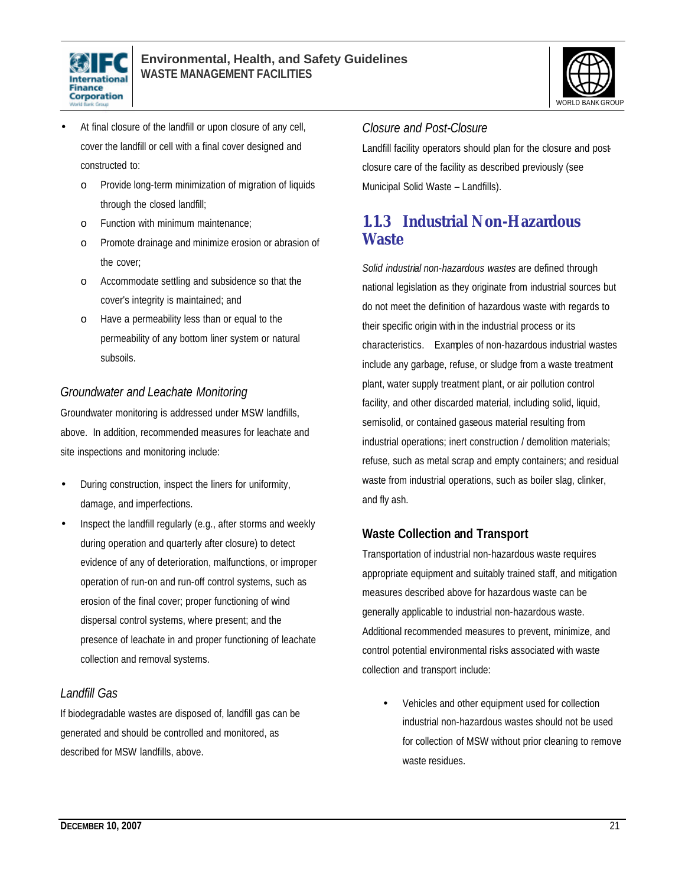



- At final closure of the landfill or upon closure of any cell, cover the landfill or cell with a final cover designed and constructed to:
	- o Provide long-term minimization of migration of liquids through the closed landfill;
	- o Function with minimum maintenance;
	- o Promote drainage and minimize erosion or abrasion of the cover;
	- o Accommodate settling and subsidence so that the cover's integrity is maintained; and
	- o Have a permeability less than or equal to the permeability of any bottom liner system or natural subsoils.

### *Groundwater and Leachate Monitoring*

Groundwater monitoring is addressed under MSW landfills, above. In addition, recommended measures for leachate and site inspections and monitoring include:

- During construction, inspect the liners for uniformity, damage, and imperfections.
- Inspect the landfill regularly (e.g., after storms and weekly during operation and quarterly after closure) to detect evidence of any of deterioration, malfunctions, or improper operation of run-on and run-off control systems, such as erosion of the final cover; proper functioning of wind dispersal control systems, where present; and the presence of leachate in and proper functioning of leachate collection and removal systems.

### *Landfill Gas*

If biodegradable wastes are disposed of, landfill gas can be generated and should be controlled and monitored, as described for MSW landfills, above.

### *Closure and Post-Closure*

Landfill facility operators should plan for the closure and postclosure care of the facility as described previously (see Municipal Solid Waste – Landfills).

### **1.1.3 Industrial Non-Hazardous Waste**

*Solid industrial non-hazardous wastes* are defined through national legislation as they originate from industrial sources but do not meet the definition of hazardous waste with regards to their specific origin with in the industrial process or its characteristics. Examples of non-hazardous industrial wastes include any garbage, refuse, or sludge from a waste treatment plant, water supply treatment plant, or air pollution control facility, and other discarded material, including solid, liquid, semisolid, or contained gaseous material resulting from industrial operations; inert construction / demolition materials; refuse, such as metal scrap and empty containers; and residual waste from industrial operations, such as boiler slag, clinker, and fly ash.

### **Waste Collection and Transport**

Transportation of industrial non-hazardous waste requires appropriate equipment and suitably trained staff, and mitigation measures described above for hazardous waste can be generally applicable to industrial non-hazardous waste. Additional recommended measures to prevent, minimize, and control potential environmental risks associated with waste collection and transport include:

• Vehicles and other equipment used for collection industrial non-hazardous wastes should not be used for collection of MSW without prior cleaning to remove waste residues.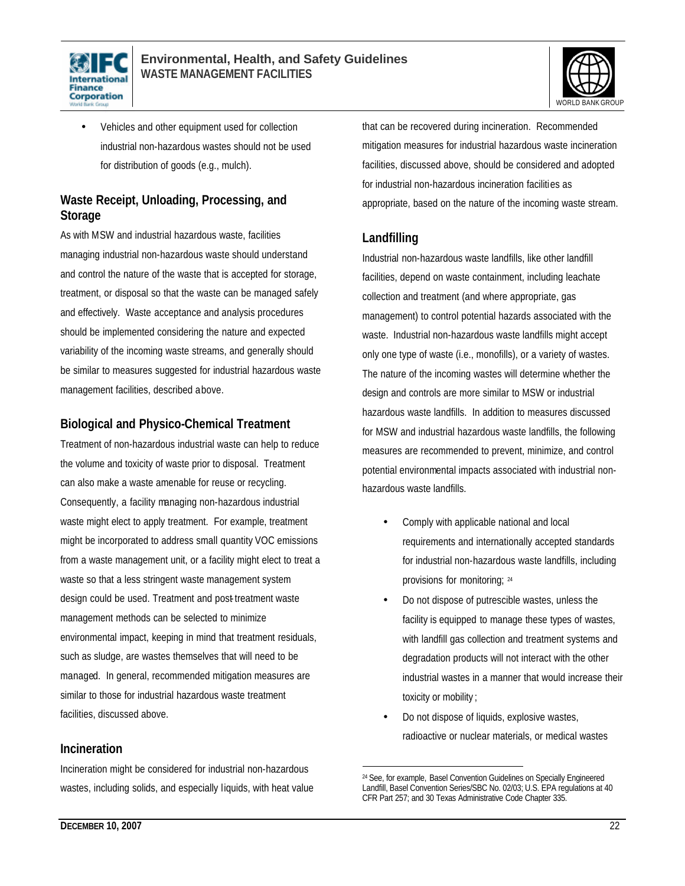



• Vehicles and other equipment used for collection industrial non-hazardous wastes should not be used for distribution of goods (e.g., mulch).

### **Waste Receipt, Unloading, Processing, and Storage**

As with MSW and industrial hazardous waste, facilities managing industrial non-hazardous waste should understand and control the nature of the waste that is accepted for storage, treatment, or disposal so that the waste can be managed safely and effectively. Waste acceptance and analysis procedures should be implemented considering the nature and expected variability of the incoming waste streams, and generally should be similar to measures suggested for industrial hazardous waste management facilities, described above.

### **Biological and Physico-Chemical Treatment**

Treatment of non-hazardous industrial waste can help to reduce the volume and toxicity of waste prior to disposal. Treatment can also make a waste amenable for reuse or recycling. Consequently, a facility managing non-hazardous industrial waste might elect to apply treatment. For example, treatment might be incorporated to address small quantity VOC emissions from a waste management unit, or a facility might elect to treat a waste so that a less stringent waste management system design could be used. Treatment and post-treatment waste management methods can be selected to minimize environmental impact, keeping in mind that treatment residuals, such as sludge, are wastes themselves that will need to be managed. In general, recommended mitigation measures are similar to those for industrial hazardous waste treatment facilities, discussed above.

### **Incineration**

Incineration might be considered for industrial non-hazardous wastes, including solids, and especially liquids, with heat value that can be recovered during incineration. Recommended mitigation measures for industrial hazardous waste incineration facilities, discussed above, should be considered and adopted for industrial non-hazardous incineration facilities as appropriate, based on the nature of the incoming waste stream.

### **Landfilling**

Industrial non-hazardous waste landfills, like other landfill facilities, depend on waste containment, including leachate collection and treatment (and where appropriate, gas management) to control potential hazards associated with the waste. Industrial non-hazardous waste landfills might accept only one type of waste (i.e., monofills), or a variety of wastes. The nature of the incoming wastes will determine whether the design and controls are more similar to MSW or industrial hazardous waste landfills. In addition to measures discussed for MSW and industrial hazardous waste landfills, the following measures are recommended to prevent, minimize, and control potential environmental impacts associated with industrial nonhazardous waste landfills.

- Comply with applicable national and local requirements and internationally accepted standards for industrial non-hazardous waste landfills, including provisions for monitoring; 24
- Do not dispose of putrescible wastes, unless the facility is equipped to manage these types of wastes, with landfill gas collection and treatment systems and degradation products will not interact with the other industrial wastes in a manner that would increase their toxicity or mobility ;
- Do not dispose of liquids, explosive wastes, radioactive or nuclear materials, or medical wastes

 $\overline{a}$ <sup>24</sup> See, for example, Basel Convention Guidelines on Specially Engineered Landfill, Basel Convention Series/SBC No. 02/03; U.S. EPA regulations at 40 CFR Part 257; and 30 Texas Administrative Code Chapter 335.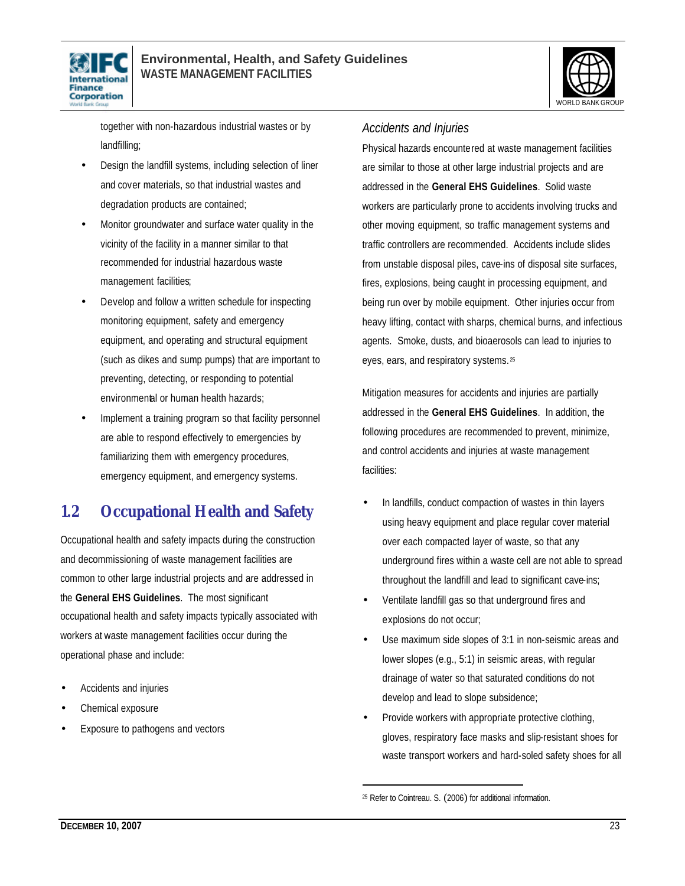



together with non-hazardous industrial wastes or by landfilling;

- Design the landfill systems, including selection of liner and cover materials, so that industrial wastes and degradation products are contained;
- Monitor groundwater and surface water quality in the vicinity of the facility in a manner similar to that recommended for industrial hazardous waste management facilities;
- Develop and follow a written schedule for inspecting monitoring equipment, safety and emergency equipment, and operating and structural equipment (such as dikes and sump pumps) that are important to preventing, detecting, or responding to potential environmental or human health hazards;
- Implement a training program so that facility personnel are able to respond effectively to emergencies by familiarizing them with emergency procedures, emergency equipment, and emergency systems.

### **1.2 Occupational Health and Safety**

Occupational health and safety impacts during the construction and decommissioning of waste management facilities are common to other large industrial projects and are addressed in the **General EHS Guidelines**. The most significant occupational health and safety impacts typically associated with workers at waste management facilities occur during the operational phase and include:

- Accidents and injuries
- Chemical exposure
- Exposure to pathogens and vectors

### *Accidents and Injuries*

Physical hazards encountered at waste management facilities are similar to those at other large industrial projects and are addressed in the **General EHS Guidelines**. Solid waste workers are particularly prone to accidents involving trucks and other moving equipment, so traffic management systems and traffic controllers are recommended. Accidents include slides from unstable disposal piles, cave-ins of disposal site surfaces, fires, explosions, being caught in processing equipment, and being run over by mobile equipment. Other injuries occur from heavy lifting, contact with sharps, chemical burns, and infectious agents. Smoke, dusts, and bioaerosols can lead to injuries to eyes, ears, and respiratory systems. <sup>25</sup>

Mitigation measures for accidents and injuries are partially addressed in the **General EHS Guidelines**. In addition, the following procedures are recommended to prevent, minimize, and control accidents and injuries at waste management facilities:

- In landfills, conduct compaction of wastes in thin layers using heavy equipment and place regular cover material over each compacted layer of waste, so that any underground fires within a waste cell are not able to spread throughout the landfill and lead to significant cave-ins;
- Ventilate landfill gas so that underground fires and explosions do not occur;
- Use maximum side slopes of 3:1 in non-seismic areas and lower slopes (e.g., 5:1) in seismic areas, with regular drainage of water so that saturated conditions do not develop and lead to slope subsidence;
- Provide workers with appropriate protective clothing, gloves, respiratory face masks and slip-resistant shoes for waste transport workers and hard-soled safety shoes for all

<sup>25</sup> Refer to Cointreau. S. (2006) for additional information.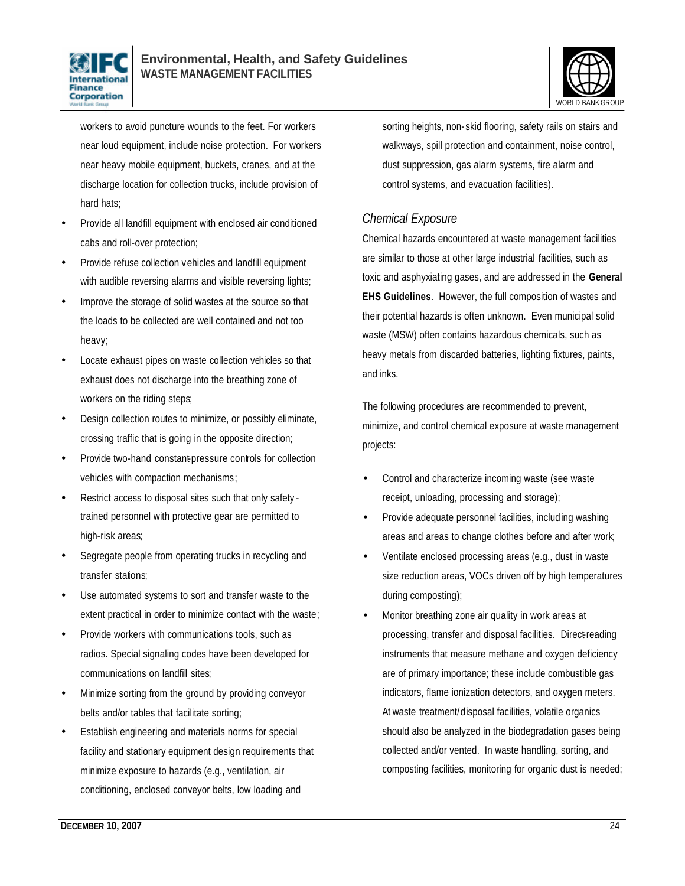



workers to avoid puncture wounds to the feet. For workers near loud equipment, include noise protection. For workers near heavy mobile equipment, buckets, cranes, and at the discharge location for collection trucks, include provision of hard hats;

- Provide all landfill equipment with enclosed air conditioned cabs and roll-over protection;
- Provide refuse collection vehicles and landfill equipment with audible reversing alarms and visible reversing lights;
- Improve the storage of solid wastes at the source so that the loads to be collected are well contained and not too heavy;
- Locate exhaust pipes on waste collection vehicles so that exhaust does not discharge into the breathing zone of workers on the riding steps;
- Design collection routes to minimize, or possibly eliminate, crossing traffic that is going in the opposite direction;
- Provide two-hand constant-pressure controls for collection vehicles with compaction mechanisms;
- Restrict access to disposal sites such that only safety trained personnel with protective gear are permitted to high-risk areas;
- Segregate people from operating trucks in recycling and transfer stations:
- Use automated systems to sort and transfer waste to the extent practical in order to minimize contact with the waste;
- Provide workers with communications tools, such as radios. Special signaling codes have been developed for communications on landfill sites;
- Minimize sorting from the ground by providing conveyor belts and/or tables that facilitate sorting;
- Establish engineering and materials norms for special facility and stationary equipment design requirements that minimize exposure to hazards (e.g., ventilation, air conditioning, enclosed conveyor belts, low loading and

sorting heights, non- skid flooring, safety rails on stairs and walkways, spill protection and containment, noise control, dust suppression, gas alarm systems, fire alarm and control systems, and evacuation facilities).

### *Chemical Exposure*

Chemical hazards encountered at waste management facilities are similar to those at other large industrial facilities, such as toxic and asphyxiating gases, and are addressed in the **General EHS Guidelines**. However, the full composition of wastes and their potential hazards is often unknown. Even municipal solid waste (MSW) often contains hazardous chemicals, such as heavy metals from discarded batteries, lighting fixtures, paints, and inks.

The following procedures are recommended to prevent, minimize, and control chemical exposure at waste management projects:

- Control and characterize incoming waste (see waste receipt, unloading, processing and storage);
- Provide adequate personnel facilities, including washing areas and areas to change clothes before and after work;
- Ventilate enclosed processing areas (e.g., dust in waste size reduction areas, VOCs driven off by high temperatures during composting);
- Monitor breathing zone air quality in work areas at processing, transfer and disposal facilities. Direct-reading instruments that measure methane and oxygen deficiency are of primary importance; these include combustible gas indicators, flame ionization detectors, and oxygen meters. At waste treatment/disposal facilities, volatile organics should also be analyzed in the biodegradation gases being collected and/or vented. In waste handling, sorting, and composting facilities, monitoring for organic dust is needed;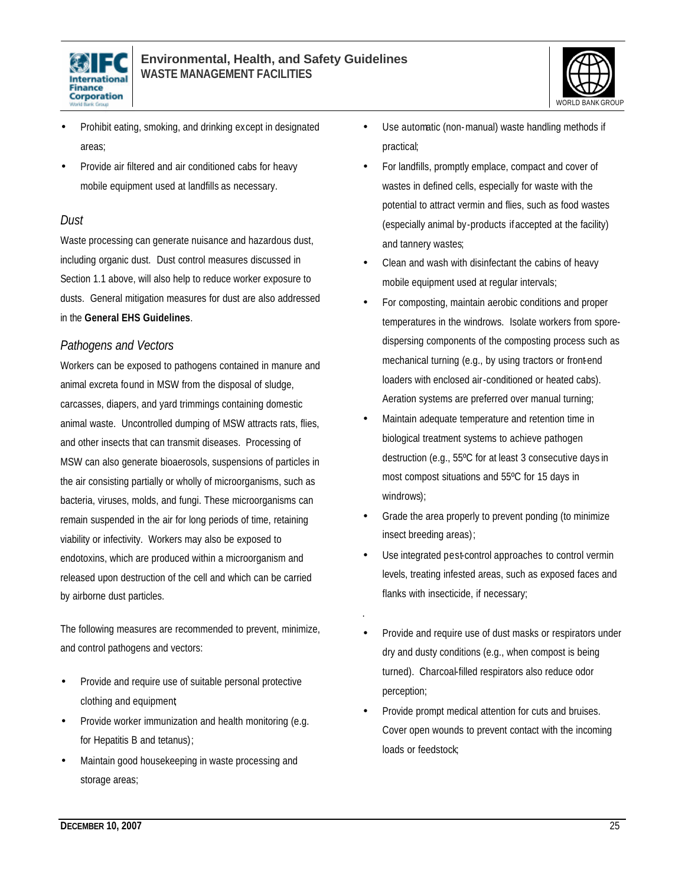



- Prohibit eating, smoking, and drinking except in designated areas;
- Provide air filtered and air conditioned cabs for heavy mobile equipment used at landfills as necessary.

### *Dust*

Waste processing can generate nuisance and hazardous dust, including organic dust. Dust control measures discussed in Section 1.1 above, will also help to reduce worker exposure to dusts. General mitigation measures for dust are also addressed in the **General EHS Guidelines**.

### *Pathogens and Vectors*

Workers can be exposed to pathogens contained in manure and animal excreta found in MSW from the disposal of sludge, carcasses, diapers, and yard trimmings containing domestic animal waste. Uncontrolled dumping of MSW attracts rats, flies, and other insects that can transmit diseases. Processing of MSW can also generate bioaerosols, suspensions of particles in the air consisting partially or wholly of microorganisms, such as bacteria, viruses, molds, and fungi. These microorganisms can remain suspended in the air for long periods of time, retaining viability or infectivity. Workers may also be exposed to endotoxins, which are produced within a microorganism and released upon destruction of the cell and which can be carried by airborne dust particles.

The following measures are recommended to prevent, minimize, and control pathogens and vectors:

- Provide and require use of suitable personal protective clothing and equipment;
- Provide worker immunization and health monitoring (e.g. for Hepatitis B and tetanus);
- Maintain good housekeeping in waste processing and storage areas;
- Use automatic (non-manual) waste handling methods if practical;
- For landfills, promptly emplace, compact and cover of wastes in defined cells, especially for waste with the potential to attract vermin and flies, such as food wastes (especially animal by-products if accepted at the facility) and tannery wastes;
- Clean and wash with disinfectant the cabins of heavy mobile equipment used at regular intervals;
- For composting, maintain aerobic conditions and proper temperatures in the windrows. Isolate workers from sporedispersing components of the composting process such as mechanical turning (e.g., by using tractors or front-end loaders with enclosed air-conditioned or heated cabs). Aeration systems are preferred over manual turning;
- Maintain adequate temperature and retention time in biological treatment systems to achieve pathogen destruction (e.g., 55ºC for at least 3 consecutive days in most compost situations and 55ºC for 15 days in windrows);
- Grade the area properly to prevent ponding (to minimize insect breeding areas);
- Use integrated pest-control approaches to control vermin levels, treating infested areas, such as exposed faces and flanks with insecticide, if necessary;

.

- Provide and require use of dust masks or respirators under dry and dusty conditions (e.g., when compost is being turned). Charcoal-filled respirators also reduce odor perception;
- Provide prompt medical attention for cuts and bruises. Cover open wounds to prevent contact with the incoming loads or feedstock;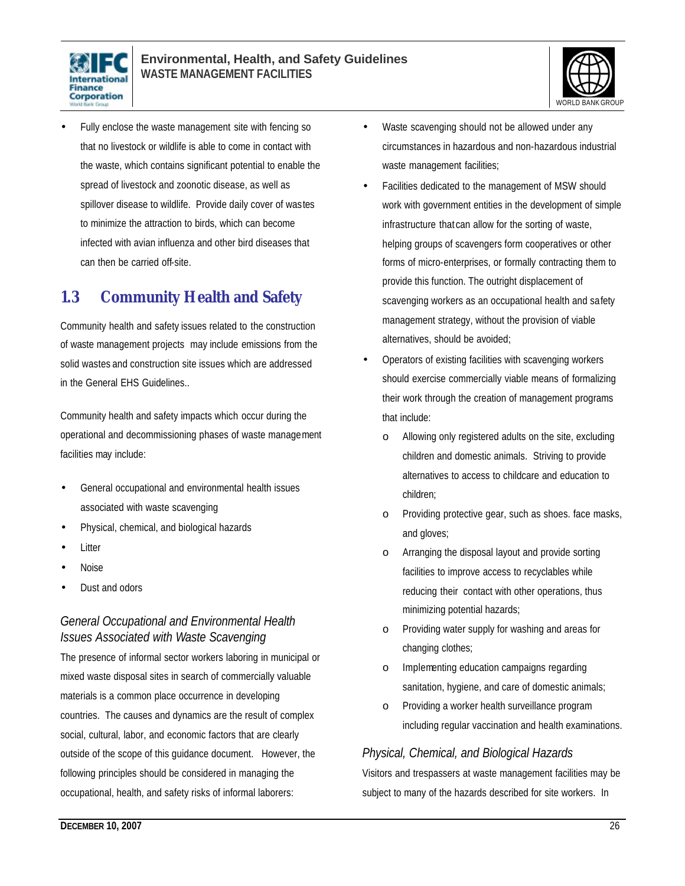



• Fully enclose the waste management site with fencing so that no livestock or wildlife is able to come in contact with the waste, which contains significant potential to enable the spread of livestock and zoonotic disease, as well as spillover disease to wildlife. Provide daily cover of wastes to minimize the attraction to birds, which can become infected with avian influenza and other bird diseases that can then be carried off-site.

### **1.3 Community Health and Safety**

Community health and safety issues related to the construction of waste management projects may include emissions from the solid wastes and construction site issues which are addressed in the General EHS Guidelines..

Community health and safety impacts which occur during the operational and decommissioning phases of waste management facilities may include:

- General occupational and environmental health issues associated with waste scavenging
- Physical, chemical, and biological hazards
- **Litter**
- Noise
- Dust and odors

### *General Occupational and Environmental Health Issues Associated with Waste Scavenging*

The presence of informal sector workers laboring in municipal or mixed waste disposal sites in search of commercially valuable materials is a common place occurrence in developing countries. The causes and dynamics are the result of complex social, cultural, labor, and economic factors that are clearly outside of the scope of this guidance document. However, the following principles should be considered in managing the occupational, health, and safety risks of informal laborers:

- Waste scavenging should not be allowed under any circumstances in hazardous and non-hazardous industrial waste management facilities:
- Facilities dedicated to the management of MSW should work with government entities in the development of simple infrastructure that can allow for the sorting of waste, helping groups of scavengers form cooperatives or other forms of micro-enterprises, or formally contracting them to provide this function. The outright displacement of scavenging workers as an occupational health and safety management strategy, without the provision of viable alternatives, should be avoided;
- Operators of existing facilities with scavenging workers should exercise commercially viable means of formalizing their work through the creation of management programs that include:
	- o Allowing only registered adults on the site, excluding children and domestic animals. Striving to provide alternatives to access to childcare and education to children;
	- o Providing protective gear, such as shoes. face masks, and gloves;
	- o Arranging the disposal layout and provide sorting facilities to improve access to recyclables while reducing their contact with other operations, thus minimizing potential hazards;
	- o Providing water supply for washing and areas for changing clothes;
	- o Implementing education campaigns regarding sanitation, hygiene, and care of domestic animals;
	- o Providing a worker health surveillance program including regular vaccination and health examinations.

### *Physical, Chemical, and Biological Hazards*

Visitors and trespassers at waste management facilities may be subject to many of the hazards described for site workers. In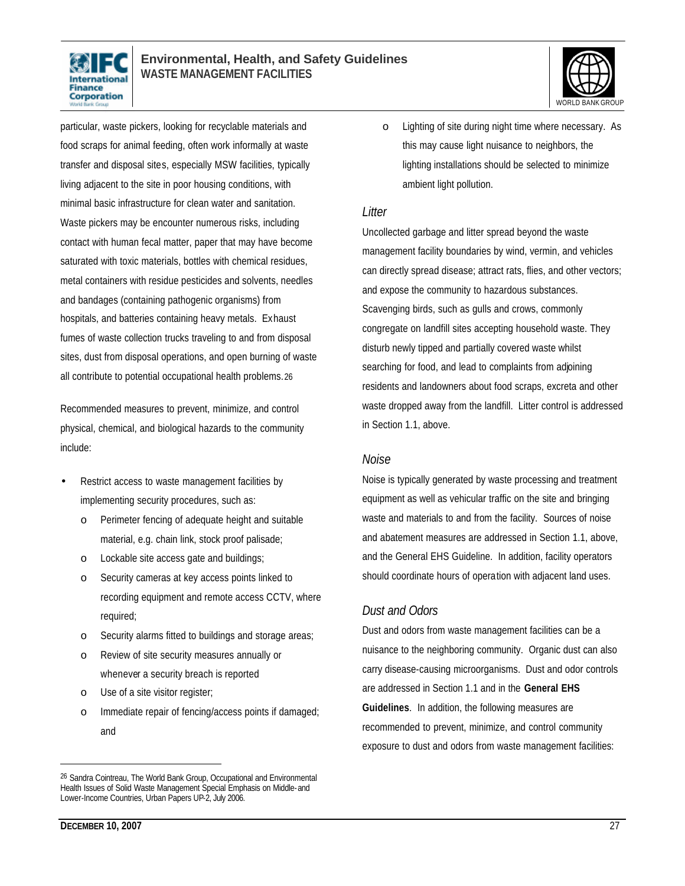



particular, waste pickers, looking for recyclable materials and food scraps for animal feeding, often work informally at waste transfer and disposal sites, especially MSW facilities, typically living adjacent to the site in poor housing conditions, with minimal basic infrastructure for clean water and sanitation. Waste pickers may be encounter numerous risks, including contact with human fecal matter, paper that may have become saturated with toxic materials, bottles with chemical residues, metal containers with residue pesticides and solvents, needles and bandages (containing pathogenic organisms) from hospitals, and batteries containing heavy metals. Exhaust fumes of waste collection trucks traveling to and from disposal sites, dust from disposal operations, and open burning of waste all contribute to potential occupational health problems.26

Recommended measures to prevent, minimize, and control physical, chemical, and biological hazards to the community include:

- Restrict access to waste management facilities by implementing security procedures, such as:
	- o Perimeter fencing of adequate height and suitable material, e.g. chain link, stock proof palisade;
	- o Lockable site access gate and buildings;
	- o Security cameras at key access points linked to recording equipment and remote access CCTV, where required;
	- o Security alarms fitted to buildings and storage areas;
	- o Review of site security measures annually or whenever a security breach is reported
	- o Use of a site visitor register;
	- o Immediate repair of fencing/access points if damaged; and

o Lighting of site during night time where necessary. As this may cause light nuisance to neighbors, the lighting installations should be selected to minimize ambient light pollution.

#### *Litter*

Uncollected garbage and litter spread beyond the waste management facility boundaries by wind, vermin, and vehicles can directly spread disease; attract rats, flies, and other vectors; and expose the community to hazardous substances. Scavenging birds, such as gulls and crows, commonly congregate on landfill sites accepting household waste. They disturb newly tipped and partially covered waste whilst searching for food, and lead to complaints from adjoining residents and landowners about food scraps, excreta and other waste dropped away from the landfill. Litter control is addressed in Section 1.1, above.

#### *Noise*

Noise is typically generated by waste processing and treatment equipment as well as vehicular traffic on the site and bringing waste and materials to and from the facility. Sources of noise and abatement measures are addressed in Section 1.1, above, and the General EHS Guideline. In addition, facility operators should coordinate hours of operation with adjacent land uses.

### *Dust and Odors*

Dust and odors from waste management facilities can be a nuisance to the neighboring community. Organic dust can also carry disease-causing microorganisms. Dust and odor controls are addressed in Section 1.1 and in the **General EHS Guidelines**. In addition, the following measures are recommended to prevent, minimize, and control community exposure to dust and odors from waste management facilities:

<sup>26</sup> Sandra Cointreau, The World Bank Group, Occupational and Environmental Health Issues of Solid Waste Management Special Emphasis on Middle- and Lower-Income Countries, Urban Papers UP-2, July 2006.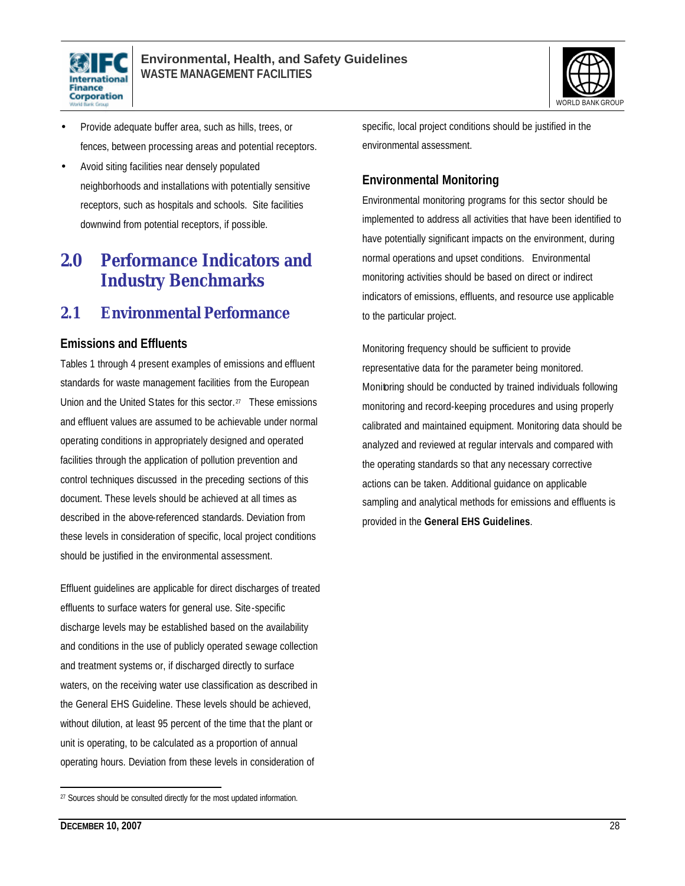



- Provide adequate buffer area, such as hills, trees, or fences, between processing areas and potential receptors.
- Avoid siting facilities near densely populated neighborhoods and installations with potentially sensitive receptors, such as hospitals and schools. Site facilities downwind from potential receptors, if possible.

## **2.0 Performance Indicators and Industry Benchmarks**

### **2.1 Environmental Performance**

### **Emissions and Effluents**

Tables 1 through 4 present examples of emissions and effluent standards for waste management facilities from the European Union and the United States for this sector.<sup>27</sup> These emissions and effluent values are assumed to be achievable under normal operating conditions in appropriately designed and operated facilities through the application of pollution prevention and control techniques discussed in the preceding sections of this document. These levels should be achieved at all times as described in the above-referenced standards. Deviation from these levels in consideration of specific, local project conditions should be justified in the environmental assessment.

Effluent guidelines are applicable for direct discharges of treated effluents to surface waters for general use. Site-specific discharge levels may be established based on the availability and conditions in the use of publicly operated sewage collection and treatment systems or, if discharged directly to surface waters, on the receiving water use classification as described in the General EHS Guideline. These levels should be achieved, without dilution, at least 95 percent of the time that the plant or unit is operating, to be calculated as a proportion of annual operating hours. Deviation from these levels in consideration of

specific, local project conditions should be justified in the environmental assessment.

### **Environmental Monitoring**

Environmental monitoring programs for this sector should be implemented to address all activities that have been identified to have potentially significant impacts on the environment, during normal operations and upset conditions. Environmental monitoring activities should be based on direct or indirect indicators of emissions, effluents, and resource use applicable to the particular project.

Monitoring frequency should be sufficient to provide representative data for the parameter being monitored. Monitoring should be conducted by trained individuals following monitoring and record-keeping procedures and using properly calibrated and maintained equipment. Monitoring data should be analyzed and reviewed at regular intervals and compared with the operating standards so that any necessary corrective actions can be taken. Additional guidance on applicable sampling and analytical methods for emissions and effluents is provided in the **General EHS Guidelines**.

<sup>&</sup>lt;sup>27</sup> Sources should be consulted directly for the most updated information.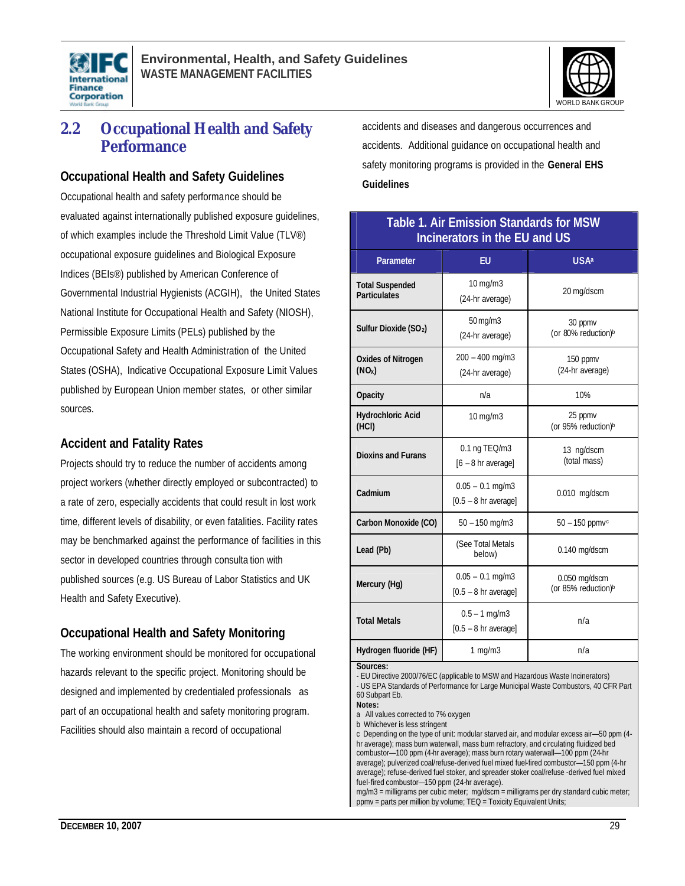



### **2.2 Occupational Health and Safety Performance**

### **Occupational Health and Safety Guidelines**

Occupational health and safety performance should be evaluated against internationally published exposure guidelines, of which examples include the Threshold Limit Value (TLV®) occupational exposure guidelines and Biological Exposure Indices (BEIs®) published by American Conference of Governmental Industrial Hygienists (ACGIH), the United States National Institute for Occupational Health and Safety (NIOSH), Permissible Exposure Limits (PELs) published by the Occupational Safety and Health Administration of the United States (OSHA), Indicative Occupational Exposure Limit Values published by European Union member states, or other similar sources.

### **Accident and Fatality Rates**

Projects should try to reduce the number of accidents among project workers (whether directly employed or subcontracted) to a rate of zero, especially accidents that could result in lost work time, different levels of disability, or even fatalities. Facility rates may be benchmarked against the performance of facilities in this sector in developed countries through consulta tion with published sources (e.g. US Bureau of Labor Statistics and UK Health and Safety Executive).

### **Occupational Health and Safety Monitoring**

The working environment should be monitored for occupational hazards relevant to the specific project. Monitoring should be designed and implemented by credentialed professionals as part of an occupational health and safety monitoring program. Facilities should also maintain a record of occupational

accidents and diseases and dangerous occurrences and accidents. Additional guidance on occupational health and safety monitoring programs is provided in the **General EHS Guidelines**

### **Table 1. Air Emission Standards for MSW Incinerators in the EU and US**

| $10$ mg/m $3$<br><b>Total Suspended</b><br>20 mg/dscm<br><b>Particulates</b><br>(24-hr average)<br>50 mg/m3<br>30 ppmy<br>Sulfur Dioxide (SO <sub>2</sub> )<br>(or 80% reduction) <sup>b</sup><br>(24-hr average)<br>$200 - 400$ mg/m $3$<br><b>Oxides of Nitrogen</b><br>150 ppmv<br>(24-hr average)<br>(NO <sub>x</sub> )<br>(24-hr average)<br>10%<br>n/a<br><b>Opacity</b><br><b>Hydrochloric Acid</b><br>25 ppmv<br>$10$ mg/m $3$<br>(or 95% reduction) <sup>b</sup><br>(HCI)<br>0.1 ng TEQ/m3<br>13 ng/dscm<br><b>Dioxins and Furans</b><br>(total mass)<br>$[6 - 8$ hr average]<br>$0.05 - 0.1$ mg/m3<br>Cadmium<br>0.010 mg/dscm<br>$[0.5 - 8$ hr average]<br>Carbon Monoxide (CO)<br>$50 - 150$ mg/m3<br>$50 - 150$ ppmv <sup>c</sup><br>(See Total Metals<br>Lead (Pb)<br>$0.140$ mg/dscm<br>below)<br>$0.05 - 0.1$ mg/m3<br>$0.050$ mg/dscm<br>Mercury (Hg)<br>(or 85% reduction) <sup>b</sup><br>$[0.5 - 8$ hr average]<br>$0.5 - 1$ mg/m3<br><b>Total Metals</b><br>n/a<br>$[0.5 - 8$ hr average]<br>Hydrogen fluoride (HF)<br>1 mg/m3<br>n/a | Parameter | EU | <b>USA</b> <sup>a</sup> |  |
|------------------------------------------------------------------------------------------------------------------------------------------------------------------------------------------------------------------------------------------------------------------------------------------------------------------------------------------------------------------------------------------------------------------------------------------------------------------------------------------------------------------------------------------------------------------------------------------------------------------------------------------------------------------------------------------------------------------------------------------------------------------------------------------------------------------------------------------------------------------------------------------------------------------------------------------------------------------------------------------------------------------------------------------------------------|-----------|----|-------------------------|--|
|                                                                                                                                                                                                                                                                                                                                                                                                                                                                                                                                                                                                                                                                                                                                                                                                                                                                                                                                                                                                                                                            |           |    |                         |  |
|                                                                                                                                                                                                                                                                                                                                                                                                                                                                                                                                                                                                                                                                                                                                                                                                                                                                                                                                                                                                                                                            |           |    |                         |  |
|                                                                                                                                                                                                                                                                                                                                                                                                                                                                                                                                                                                                                                                                                                                                                                                                                                                                                                                                                                                                                                                            |           |    |                         |  |
|                                                                                                                                                                                                                                                                                                                                                                                                                                                                                                                                                                                                                                                                                                                                                                                                                                                                                                                                                                                                                                                            |           |    |                         |  |
|                                                                                                                                                                                                                                                                                                                                                                                                                                                                                                                                                                                                                                                                                                                                                                                                                                                                                                                                                                                                                                                            |           |    |                         |  |
|                                                                                                                                                                                                                                                                                                                                                                                                                                                                                                                                                                                                                                                                                                                                                                                                                                                                                                                                                                                                                                                            |           |    |                         |  |
|                                                                                                                                                                                                                                                                                                                                                                                                                                                                                                                                                                                                                                                                                                                                                                                                                                                                                                                                                                                                                                                            |           |    |                         |  |
|                                                                                                                                                                                                                                                                                                                                                                                                                                                                                                                                                                                                                                                                                                                                                                                                                                                                                                                                                                                                                                                            |           |    |                         |  |
|                                                                                                                                                                                                                                                                                                                                                                                                                                                                                                                                                                                                                                                                                                                                                                                                                                                                                                                                                                                                                                                            |           |    |                         |  |
|                                                                                                                                                                                                                                                                                                                                                                                                                                                                                                                                                                                                                                                                                                                                                                                                                                                                                                                                                                                                                                                            |           |    |                         |  |
|                                                                                                                                                                                                                                                                                                                                                                                                                                                                                                                                                                                                                                                                                                                                                                                                                                                                                                                                                                                                                                                            |           |    |                         |  |
| <b>Sources:</b>                                                                                                                                                                                                                                                                                                                                                                                                                                                                                                                                                                                                                                                                                                                                                                                                                                                                                                                                                                                                                                            |           |    |                         |  |

**Sources:** 

- EU Directive 2000/76/EC (applicable to MSW and Hazardous Waste Incinerators) - US EPA Standards of Performance for Large Municipal Waste Combustors, 40 CFR Part 60 Subpart Eb.

**Notes:**

a All values corrected to 7% oxygen

b Whichever is less stringent

c Depending on the type of unit: modular starved air, and modular excess air—50 ppm (4 hr average); mass burn waterwall, mass burn refractory, and circulating fluidized bed combustor—100 ppm (4-hr average); mass burn rotary waterwall—100 ppm (24-hr average); pulverized coal/refuse-derived fuel mixed fuel-fired combustor—150 ppm (4-hr average); refuse-derived fuel stoker, and spreader stoker coal/refuse -derived fuel mixed fuel-fired combustor—150 ppm (24-hr average).

mg/m3 = milligrams per cubic meter; mg/dscm = milligrams per dry standard cubic meter; ppmv = parts per million by volume; TEQ = Toxicity Equivalent Units;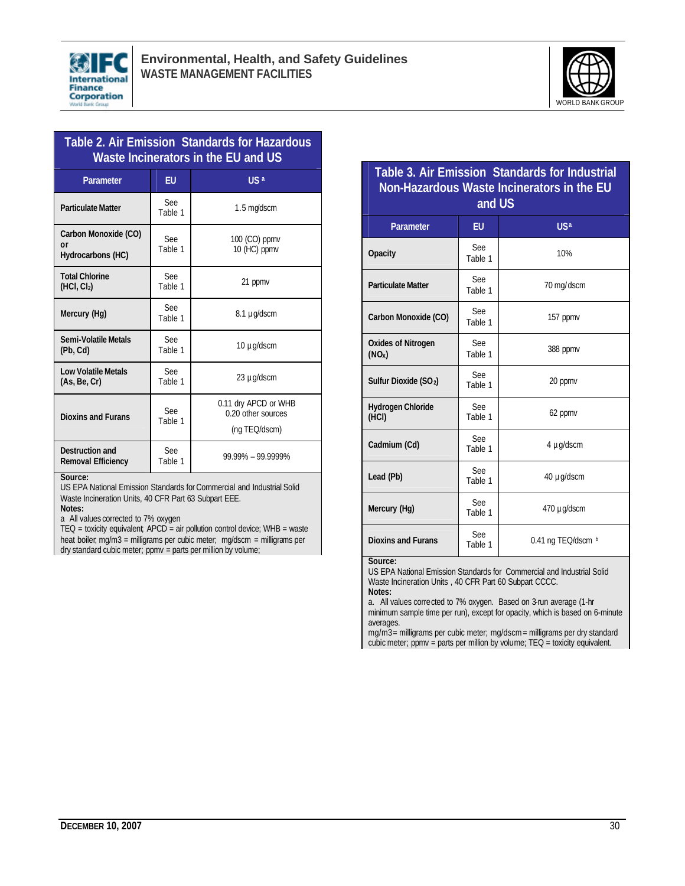



### **Table 2. Air Emission Standards for Hazardous Waste Incinerators in the EU and US**

| Parameter                                        | EU                    | US <sup>a</sup>                                             |  |  |
|--------------------------------------------------|-----------------------|-------------------------------------------------------------|--|--|
| <b>Particulate Matter</b>                        | See<br>Table 1        | $1.5 \text{ m}$ gdscm                                       |  |  |
| Carbon Monoxide (CO)<br>or<br>Hydrocarbons (HC)  | <b>See</b><br>Table 1 | $100$ (CO) ppmv<br>10 (HC) ppmv                             |  |  |
| <b>Total Chlorine</b><br>(HCI, CI <sub>2</sub> ) | See<br>Table 1        | 21 ppmv                                                     |  |  |
| Mercury (Hg)                                     | See<br>Table 1        | 8.1 µg/dscm                                                 |  |  |
| Semi-Volatile Metals<br>(Pb, Cd)                 | See<br>Table 1        | 10 µg/dscm                                                  |  |  |
| <b>Low Volatile Metals</b><br>(As, Be, Cr)       | See<br>Table 1        | 23 µg/dscm                                                  |  |  |
| <b>Dioxins and Furans</b>                        | See<br>Table 1        | 0.11 dry APCD or WHB<br>0.20 other sources<br>(ng TEQ/dscm) |  |  |
| Destruction and<br><b>Removal Efficiency</b>     | <b>See</b><br>Table 1 | 99.99% - 99.9999%                                           |  |  |

#### **Source:**

US EPA National Emission Standards for Commercial and Industrial Solid Waste Incineration Units, 40 CFR Part 63 Subpart EEE.

**Notes:**

a All values corrected to 7% oxygen

 $TEQ =$  toxicity equivalent;  $APCD =$  air pollution control device; WHB = waste heat boiler; mg/m3 = milligrams per cubic meter; mg/dscm = milligrams per dry standard cubic meter; ppmv = parts per million by volume;

| Table 3. Air Emission Standards for Industrial<br>Non-Hazardous Waste Incinerators in the EU<br>and US |                       |                        |  |
|--------------------------------------------------------------------------------------------------------|-----------------------|------------------------|--|
| Parameter                                                                                              | EU.                   | <b>US</b> <sup>a</sup> |  |
| <b>Opacity</b>                                                                                         | See<br>Table 1        | 10%                    |  |
| <b>Particulate Matter</b>                                                                              | <b>See</b><br>Table 1 | 70 mg/dscm             |  |
| Carbon Monoxide (CO)                                                                                   | See<br>Table 1        | 157 ppmv               |  |
| <b>Oxides of Nitrogen</b><br>(NO <sub>x</sub> )                                                        | See<br>Table 1        | 388 ppmv               |  |
| Sulfur Dioxide (SO <sub>2</sub> )                                                                      | See<br>Table 1        | 20 ppmv                |  |
| Hydrogen Chloride<br>(HCI)                                                                             | See<br>Table 1        | 62 ppmv                |  |
| Cadmium (Cd)                                                                                           | See<br>Table 1        | 4 µg/dscm              |  |
| Lead (Pb)                                                                                              | See<br>Table 1        | 40 µg/dscm             |  |
| Mercury (Hg)                                                                                           | See<br>Table 1        | 470 µg/dscm            |  |
| <b>Dioxins and Furans</b><br>$\sim$                                                                    | See<br>Table 1        | 0.41 ng TEQ/dscm b     |  |

**Source:**

US EPA National Emission Standards for Commercial and Industrial Solid Waste Incineration Units , 40 CFR Part 60 Subpart CCCC.

**Notes:**

a. All values corrected to 7% oxygen. Based on 3-run average (1-hr minimum sample time per run), except for opacity, which is based on 6-minute averages.

mg/m3 = milligrams per cubic meter; mg/dscm = milligrams per dry standard cubic meter; ppmv = parts per million by volume; TEQ = toxicity equivalent.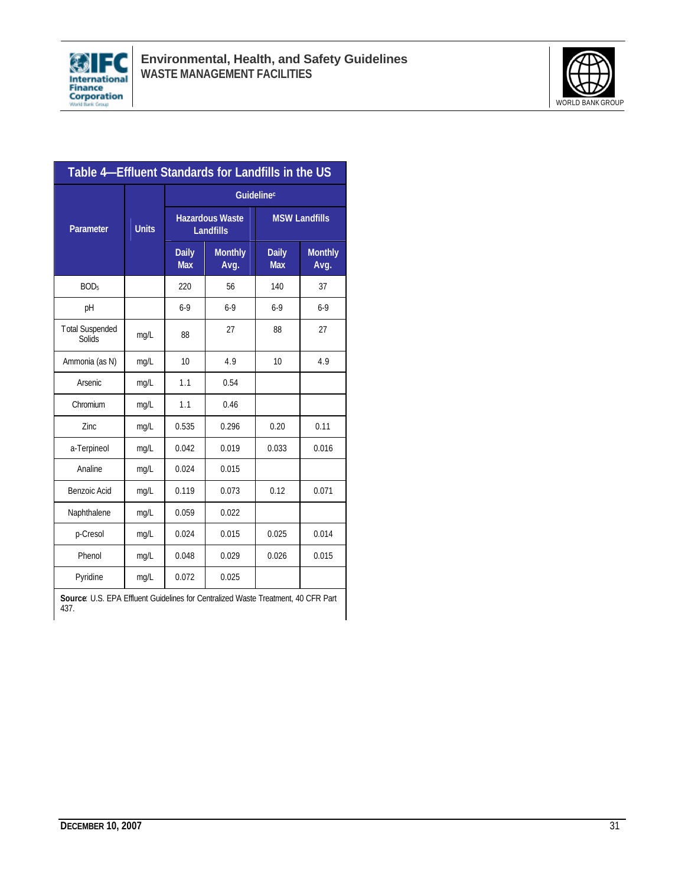



| Table 4–Effluent Standards for Landfills in the US |              |                                            |                        |                            |                        |
|----------------------------------------------------|--------------|--------------------------------------------|------------------------|----------------------------|------------------------|
|                                                    | <b>Units</b> | Guidelinec                                 |                        |                            |                        |
| <b>Parameter</b>                                   |              | <b>Hazardous Waste</b><br><b>Landfills</b> |                        | <b>MSW Landfills</b>       |                        |
|                                                    |              | <b>Daily</b><br><b>Max</b>                 | <b>Monthly</b><br>Avg. | <b>Daily</b><br><b>Max</b> | <b>Monthly</b><br>Avg. |
| BOD <sub>5</sub>                                   |              | 220                                        | 56                     | 140                        | 37                     |
| pH                                                 |              | $6-9$                                      | $6-9$                  | $6-9$                      | $6-9$                  |
| <b>Total Suspended</b><br>Solids                   | mg/L         | 88                                         | 27                     | 88                         | 27                     |
| Ammonia (as N)                                     | mg/L         | 10                                         | 4.9                    | 10                         | 4.9                    |
| Arsenic                                            | mg/L         | 1.1                                        | 0.54                   |                            |                        |
| Chromium                                           | mg/L         | 1.1                                        | 0.46                   |                            |                        |
| Zinc                                               | mg/L         | 0.535                                      | 0.296                  | 0.20                       | 0.11                   |
| a-Terpineol                                        | mg/L         | 0.042                                      | 0.019                  | 0.033                      | 0.016                  |
| Analine                                            | mg/L         | 0.024                                      | 0.015                  |                            |                        |
| Benzoic Acid                                       | mg/L         | 0.119                                      | 0.073                  | 0.12                       | 0.071                  |
| Naphthalene                                        | mg/L         | 0.059                                      | 0.022                  |                            |                        |
| p-Cresol                                           | mg/L         | 0.024                                      | 0.015                  | 0.025                      | 0.014                  |
| Phenol                                             | mg/L         | 0.048                                      | 0.029                  | 0.026                      | 0.015                  |
| Pyridine                                           | mg/L         | 0.072                                      | 0.025                  |                            |                        |

**Source**: U.S. EPA Effluent Guidelines for Centralized Waste Treatment, 40 CFR Part 437.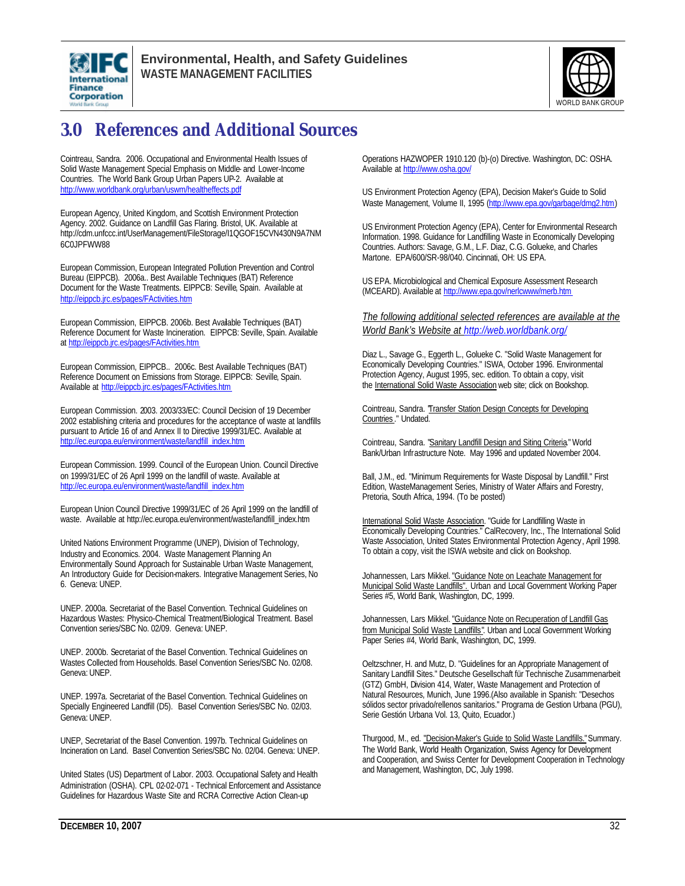



## **3.0 References and Additional Sources**

Cointreau, Sandra. 2006. Occupational and Environmental Health Issues of Solid Waste Management Special Emphasis on Middle- and Lower-Income Countries. The World Bank Group Urban Papers UP-2. Available at http://www.worldbank.org/urban/uswm/healtheffects.pdf

European Agency, United Kingdom, and Scottish Environment Protection Agency. 2002. Guidance on Landfill Gas Flaring. Bristol, UK. Available at http://cdm.unfccc.int/UserManagement/FileStorage/I1QGOF15CVN430N9A7NM 6C0JPFWW88

European Commission, European Integrated Pollution Prevention and Control Bureau (EIPPCB). 2006a.. Best Available Techniques (BAT) Reference Document for the Waste Treatments. EIPPCB: Seville, Spain. Available at http://eippcb.jrc.es/pages/FActivities.htm

European Commission, EIPPCB. 2006b. Best Available Techniques (BAT) Reference Document for Waste Incineration. EIPPCB: Seville, Spain. Available at http://eippcb.jrc.es/pages/FActivities.htm

European Commission, EIPPCB.. 2006c. Best Available Techniques (BAT) Reference Document on Emissions from Storage. EIPPCB: Seville, Spain. Available at http://eippcb.jrc.es/pages/FActivities.htm

European Commission. 2003. 2003/33/EC: Council Decision of 19 December 2002 establishing criteria and procedures for the acceptance of waste at landfills pursuant to Article 16 of and Annex II to Directive 1999/31/EC. Available at http://ec.europa.eu/environment/waste/landfill\_index.htm

European Commission. 1999. Council of the European Union. Council Directive on 1999/31/EC of 26 April 1999 on the landfill of waste. Available at http://ec.europa.eu/environment/waste/landfill\_index.htm

European Union Council Directive 1999/31/EC of 26 April 1999 on the landfill of waste. Available at http://ec.europa.eu/environment/waste/landfill\_index.htm

United Nations Environment Programme (UNEP), Division of Technology, Industry and Economics. 2004. Waste Management Planning An Environmentally Sound Approach for Sustainable Urban Waste Management, An Introductory Guide for Decision-makers. Integrative Management Series, No 6. Geneva: UNEP.

UNEP. 2000a. Secretariat of the Basel Convention. Technical Guidelines on Hazardous Wastes: Physico-Chemical Treatment/Biological Treatment. Basel Convention series/SBC No. 02/09. Geneva: UNEP.

UNEP. 2000b. Secretariat of the Basel Convention. Technical Guidelines on Wastes Collected from Households. Basel Convention Series/SBC No. 02/08. Geneva: UNEP.

UNEP. 1997a. Secretariat of the Basel Convention. Technical Guidelines on Specially Engineered Landfill (D5). Basel Convention Series/SBC No. 02/03. Geneva: UNEP.

UNEP, Secretariat of the Basel Convention. 1997b. Technical Guidelines on Incineration on Land. Basel Convention Series/SBC No. 02/04. Geneva: UNEP.

United States (US) Department of Labor. 2003. Occupational Safety and Health Administration (OSHA). CPL 02-02-071 - Technical Enforcement and Assistance Guidelines for Hazardous Waste Site and RCRA Corrective Action Clean-up

Operations HAZWOPER 1910.120 (b)-(o) Directive. Washington, DC: OSHA. Available at http://www.osha.gov/

US Environment Protection Agency (EPA), Decision Maker's Guide to Solid Waste Management, Volume II, 1995 (http://www.epa.gov/garbage/dmg2.htm)

US Environment Protection Agency (EPA), Center for Environmental Research Information. 1998. Guidance for Landfilling Waste in Economically Developing Countries. Authors: Savage, G.M., L.F. Diaz, C.G. Golueke, and Charles Martone. EPA/600/SR-98/040. Cincinnati, OH: US EPA.

US EPA. Microbiological and Chemical Exposure Assessment Research (MCEARD). Available at http://www.epa.gov/nerlcwww/merb.htm

*The following additional selected references are available at the World Bank's Website at http://web.worldbank.org/*

Diaz L., Savage G., Eggerth L., Golueke C. "Solid Waste Management for Economically Developing Countries." ISWA, October 1996. Environmental Protection Agency, August 1995, sec. edition. To obtain a copy, visit the International Solid Waste Association web site; click on Bookshop.

Cointreau, Sandra. "Transfer Station Design Concepts for Developing Countries ." Undated.

Cointreau, Sandra. "Sanitary Landfill Design and Siting Criteria." World Bank/Urban Infrastructure Note. May 1996 and updated November 2004.

Ball, J.M., ed. "Minimum Requirements for Waste Disposal by Landfill." First Edition, WasteManagement Series, Ministry of Water Affairs and Forestry, Pretoria, South Africa, 1994. (To be posted)

International Solid Waste Association. "Guide for Landfilling Waste in Economically Developing Countries." CalRecovery, Inc., The International Solid Waste Association, United States Environmental Protection Agency, April 1998. To obtain a copy, visit the ISWA website and click on Bookshop.

Johannessen, Lars Mikkel. "Guidance Note on Leachate Management for Municipal Solid Waste Landfills". Urban and Local Government Working Paper Series #5, World Bank, Washington, DC, 1999.

Johannessen, Lars Mikkel. "Guidance Note on Recuperation of Landfill Gas from Municipal Solid Waste Landfills". Urban and Local Government Working Paper Series #4, World Bank, Washington, DC, 1999.

Oeltzschner, H. and Mutz, D. "Guidelines for an Appropriate Management of Sanitary Landfill Sites." Deutsche Gesellschaft für Technische Zusammenarbeit (GTZ) GmbH, Division 414, Water, Waste Management and Protection of Natural Resources, Munich, June 1996.(Also available in Spanish: "Desechos sólidos sector privado/rellenos sanitarios." Programa de Gestion Urbana (PGU), Serie Gestión Urbana Vol. 13, Quito, Ecuador.)

Thurgood, M., ed. "Decision-Maker's Guide to Solid Waste Landfills." Summary. The World Bank, World Health Organization, Swiss Agency for Development and Cooperation, and Swiss Center for Development Cooperation in Technology and Management, Washington, DC, July 1998.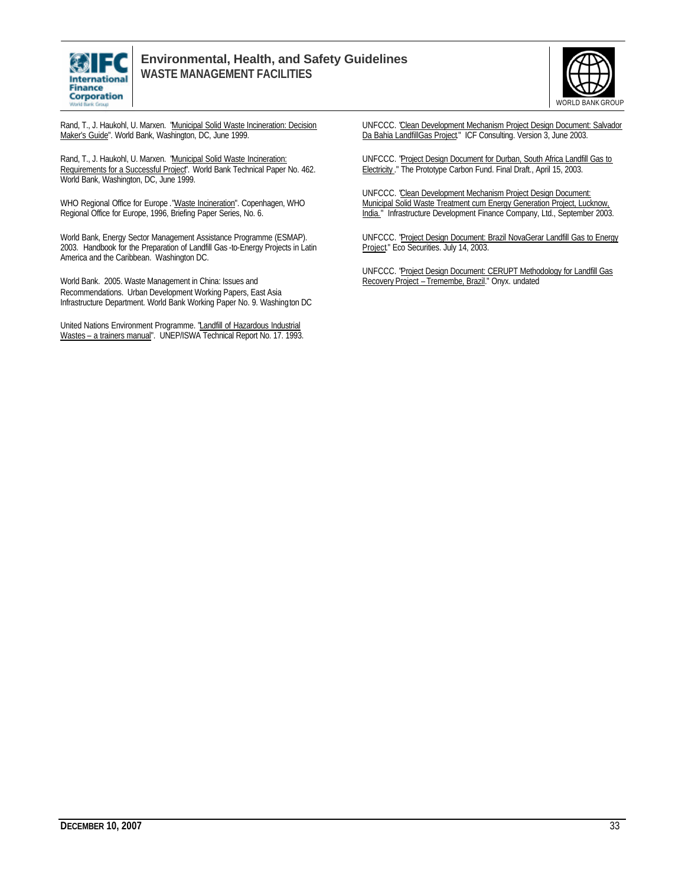



Rand, T., J. Haukohl, U. Marxen. "Municipal Solid Waste Incineration: Decision Maker's Guide". World Bank, Washington, DC, June 1999.

Rand, T., J. Haukohl, U. Marxen. "Municipal Solid Waste Incineration: Requirements for a Successful Project". World Bank Technical Paper No. 462. World Bank, Washington, DC, June 1999.

WHO Regional Office for Europe ."Waste Incineration". Copenhagen, WHO Regional Office for Europe, 1996, Briefing Paper Series, No. 6.

World Bank, Energy Sector Management Assistance Programme (ESMAP). 2003. Handbook for the Preparation of Landfill Gas -to-Energy Projects in Latin America and the Caribbean. Washington DC.

World Bank. 2005. Waste Management in China: Issues and Recommendations. Urban Development Working Papers, East Asia Infrastructure Department. World Bank Working Paper No. 9. Washington DC

United Nations Environment Programme. "Landfill of Hazardous Industrial Wastes – a trainers manual". UNEP/ISWA Technical Report No. 17. 1993. UNFCCC. "Clean Development Mechanism Project Design Document: Salvador Da Bahia LandfillGas Project." ICF Consulting. Version 3, June 2003.

UNFCCC. "Project Design Document for Durban, South Africa Landfill Gas to Electricity ." The Prototype Carbon Fund. Final Draft., April 15, 2003.

UNFCCC. "Clean Development Mechanism Project Design Document: Municipal Solid Waste Treatment cum Energy Generation Project, Lucknow, India." Infrastructure Development Finance Company, Ltd., September 2003.

UNFCCC. "Project Design Document: Brazil NovaGerar Landfill Gas to Energy Project." Eco Securities. July 14, 2003.

UNFCCC. "Project Design Document: CERUPT Methodology for Landfill Gas Recovery Project – Tremembe, Brazil." Onyx. undated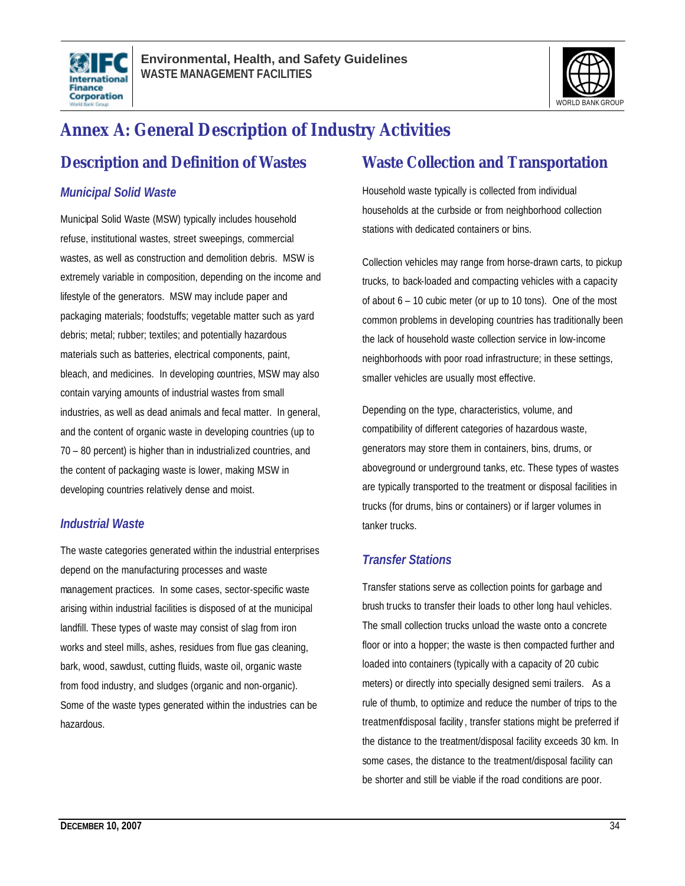



## **Annex A: General Description of Industry Activities**

### **Description and Definition of Wastes**

### *Municipal Solid Waste*

Municipal Solid Waste (MSW) typically includes household refuse, institutional wastes, street sweepings, commercial wastes, as well as construction and demolition debris. MSW is extremely variable in composition, depending on the income and lifestyle of the generators. MSW may include paper and packaging materials; foodstuffs; vegetable matter such as yard debris; metal; rubber; textiles; and potentially hazardous materials such as batteries, electrical components, paint, bleach, and medicines. In developing countries, MSW may also contain varying amounts of industrial wastes from small industries, as well as dead animals and fecal matter. In general, and the content of organic waste in developing countries (up to 70 – 80 percent) is higher than in industrialized countries, and the content of packaging waste is lower, making MSW in developing countries relatively dense and moist.

### *Industrial Waste*

The waste categories generated within the industrial enterprises depend on the manufacturing processes and waste management practices. In some cases, sector-specific waste arising within industrial facilities is disposed of at the municipal landfill. These types of waste may consist of slag from iron works and steel mills, ashes, residues from flue gas cleaning, bark, wood, sawdust, cutting fluids, waste oil, organic waste from food industry, and sludges (organic and non-organic). Some of the waste types generated within the industries can be hazardous.

### **Waste Collection and Transportation**

Household waste typically is collected from individual households at the curbside or from neighborhood collection stations with dedicated containers or bins.

Collection vehicles may range from horse-drawn carts, to pickup trucks, to back-loaded and compacting vehicles with a capacity of about 6 – 10 cubic meter (or up to 10 tons). One of the most common problems in developing countries has traditionally been the lack of household waste collection service in low-income neighborhoods with poor road infrastructure; in these settings, smaller vehicles are usually most effective.

Depending on the type, characteristics, volume, and compatibility of different categories of hazardous waste, generators may store them in containers, bins, drums, or aboveground or underground tanks, etc. These types of wastes are typically transported to the treatment or disposal facilities in trucks (for drums, bins or containers) or if larger volumes in tanker trucks.

### *Transfer Stations*

Transfer stations serve as collection points for garbage and brush trucks to transfer their loads to other long haul vehicles. The small collection trucks unload the waste onto a concrete floor or into a hopper; the waste is then compacted further and loaded into containers (typically with a capacity of 20 cubic meters) or directly into specially designed semi trailers. As a rule of thumb, to optimize and reduce the number of trips to the treatment/disposal facility , transfer stations might be preferred if the distance to the treatment/disposal facility exceeds 30 km. In some cases, the distance to the treatment/disposal facility can be shorter and still be viable if the road conditions are poor.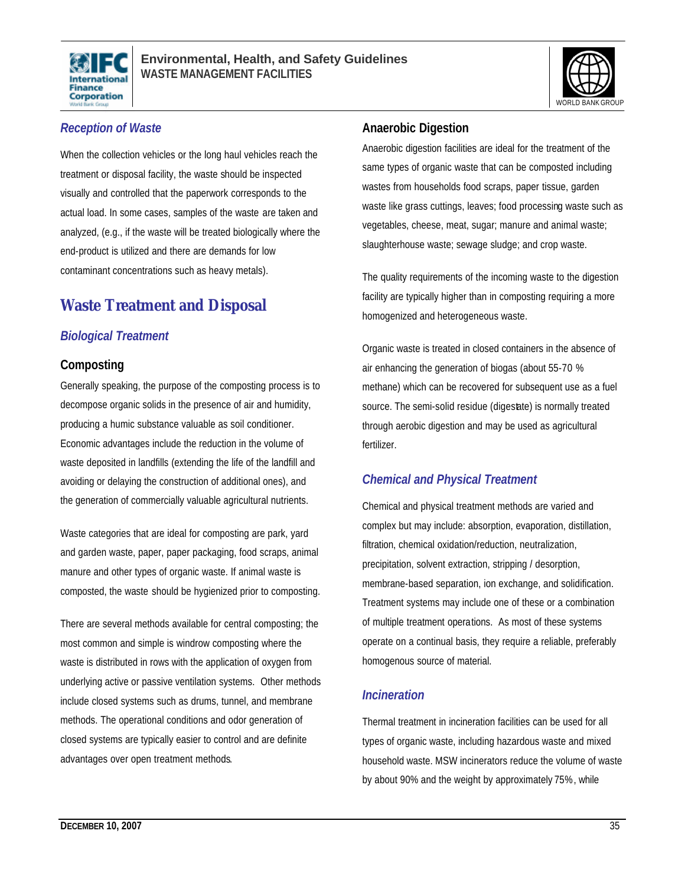



### *Reception of Waste*

When the collection vehicles or the long haul vehicles reach the treatment or disposal facility, the waste should be inspected visually and controlled that the paperwork corresponds to the actual load. In some cases, samples of the waste are taken and analyzed, (e.g., if the waste will be treated biologically where the end-product is utilized and there are demands for low contaminant concentrations such as heavy metals).

## **Waste Treatment and Disposal**

### *Biological Treatment*

### **Composting**

Generally speaking, the purpose of the composting process is to decompose organic solids in the presence of air and humidity, producing a humic substance valuable as soil conditioner. Economic advantages include the reduction in the volume of waste deposited in landfills (extending the life of the landfill and avoiding or delaying the construction of additional ones), and the generation of commercially valuable agricultural nutrients.

Waste categories that are ideal for composting are park, yard and garden waste, paper, paper packaging, food scraps, animal manure and other types of organic waste. If animal waste is composted, the waste should be hygienized prior to composting.

There are several methods available for central composting; the most common and simple is windrow composting where the waste is distributed in rows with the application of oxygen from underlying active or passive ventilation systems. Other methods include closed systems such as drums, tunnel, and membrane methods. The operational conditions and odor generation of closed systems are typically easier to control and are definite advantages over open treatment methods.

### **Anaerobic Digestion**

Anaerobic digestion facilities are ideal for the treatment of the same types of organic waste that can be composted including wastes from households food scraps, paper tissue, garden waste like grass cuttings, leaves; food processing waste such as vegetables, cheese, meat, sugar; manure and animal waste; slaughterhouse waste; sewage sludge; and crop waste.

The quality requirements of the incoming waste to the digestion facility are typically higher than in composting requiring a more homogenized and heterogeneous waste.

Organic waste is treated in closed containers in the absence of air enhancing the generation of biogas (about 55-70 % methane) which can be recovered for subsequent use as a fuel source. The semi-solid residue (digestate) is normally treated through aerobic digestion and may be used as agricultural fertilizer.

### *Chemical and Physical Treatment*

Chemical and physical treatment methods are varied and complex but may include: absorption, evaporation, distillation, filtration, chemical oxidation/reduction, neutralization, precipitation, solvent extraction, stripping / desorption, membrane-based separation, ion exchange, and solidification. Treatment systems may include one of these or a combination of multiple treatment operations. As most of these systems operate on a continual basis, they require a reliable, preferably homogenous source of material.

### *Incineration*

Thermal treatment in incineration facilities can be used for all types of organic waste, including hazardous waste and mixed household waste. MSW incinerators reduce the volume of waste by about 90% and the weight by approximately 75%, while